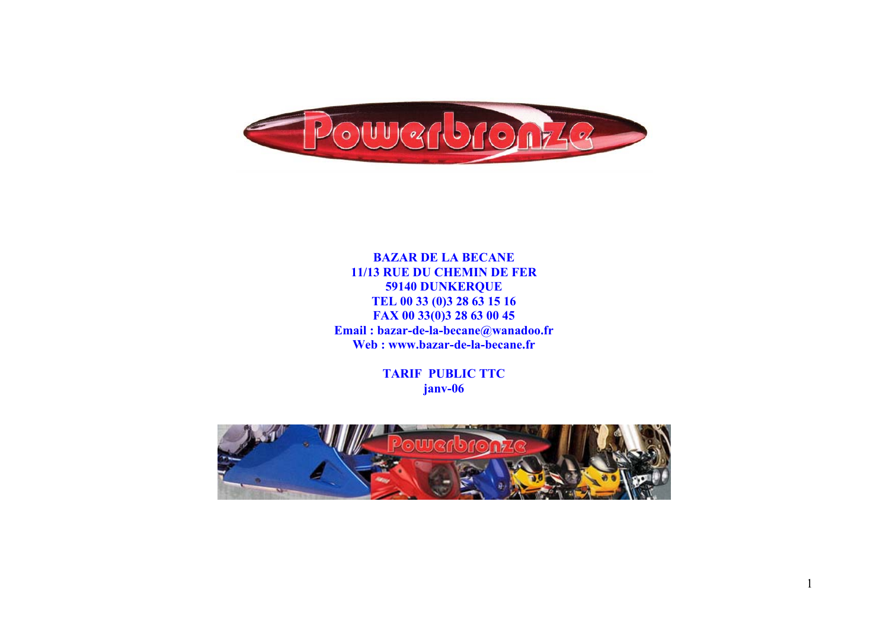

**BAZAR DE LA BECANE 11/13 RUE DU CHEMIN DE FER 59140 DUNKERQUE TEL 00 33 (0)3 28 63 15 16 FAX 00 33(0)3 28 63 00 45 Email : bazar-de-la-becane@wanadoo.fr Web : www.bazar-de-la-becane.fr** 

> **TARIF PUBLIC TTC janv-06**

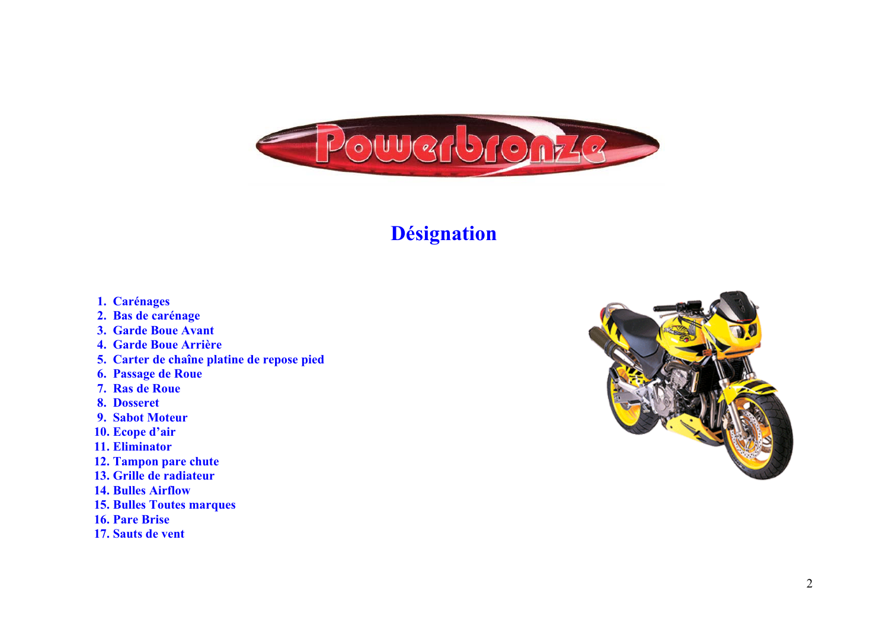

### **Désignation**

- **1. Carénages**
- **2. Bas de carénage**
- **3. Garde Boue Avant**
- **4. Garde Boue Arrière**
- **5. Carter de chaîne platine de repose pied**
- **6. Passage de Roue**
- **7. Ras de Roue**
- **8. Dosseret**
- **9. Sabot Moteur**
- **10. Ecope d'air**
- **11. Eliminator**
- **12. Tampon pare chute**
- **13. Grille de radiateur**
- **14. Bulles Airflow**
- **15. Bulles Toutes marques**
- **16. Pare Brise**
- **17. Sauts de vent**

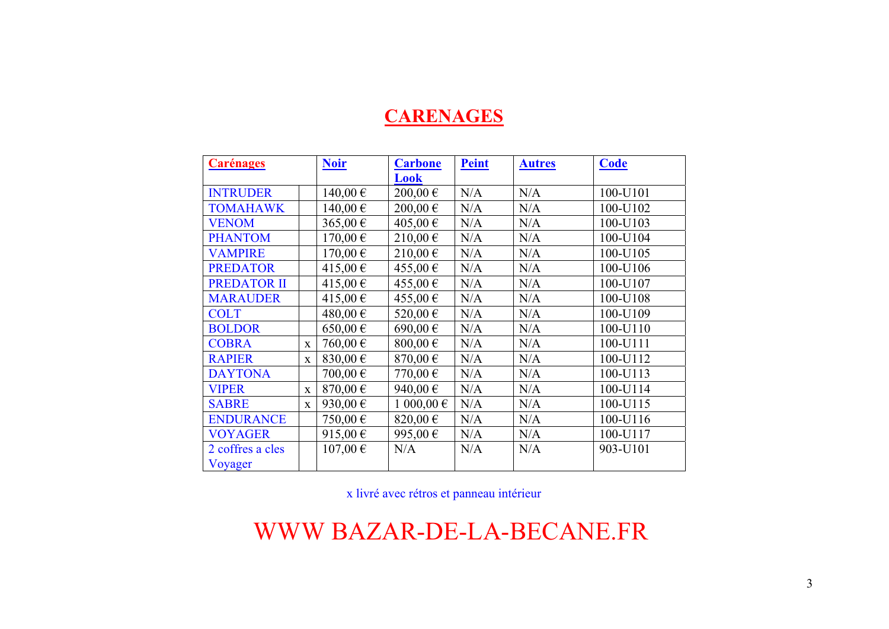### **CARENAGES**

| <b>Carénages</b> |             | <b>Noir</b>  | <b>Carbone</b> | <b>Peint</b> | <b>Autres</b> | <b>Code</b> |  |
|------------------|-------------|--------------|----------------|--------------|---------------|-------------|--|
|                  |             |              | Look           |              |               |             |  |
| <b>INTRUDER</b>  |             | 140,00€      | 200,00€        | N/A          | N/A           | 100-U101    |  |
| <b>TOMAHAWK</b>  |             | 140,00 €     | 200,00€        | N/A          | N/A           | 100-U102    |  |
| <b>VENOM</b>     |             | 365,00 €     | 405,00 €       | N/A          | N/A           | 100-U103    |  |
| <b>PHANTOM</b>   |             | $170,00 \in$ | 210,00 €       | N/A          | N/A           | 100-U104    |  |
| <b>VAMPIRE</b>   |             | 170,00€      | 210,00€        | N/A          | N/A           | 100-U105    |  |
| <b>PREDATOR</b>  |             | 415,00 €     | 455,00 €       | N/A          | N/A           | 100-U106    |  |
| PREDATOR II      |             | 415,00 €     | 455,00€        | N/A          | N/A           | 100-U107    |  |
| <b>MARAUDER</b>  |             | 415,00€      | 455,00 €       | N/A          | N/A           | 100-U108    |  |
| <b>COLT</b>      |             | 480,00€      | 520,00 €       | N/A          | N/A           | 100-U109    |  |
| <b>BOLDOR</b>    |             | $650,00 \in$ | 690,00€        | N/A          | N/A           | 100-U110    |  |
| <b>COBRA</b>     | X           | 760,00€      | 800,00 $\in$   | N/A          | N/A           | 100-U111    |  |
| <b>RAPIER</b>    | X           | 830,00 €     | 870,00€        | N/A          | N/A           | 100-U112    |  |
| <b>DAYTONA</b>   |             | 700,00€      | 770,00€        | N/A          | N/A           | 100-U113    |  |
| <b>VIPER</b>     | $\mathbf X$ | 870,00€      | 940,00€        | N/A          | N/A           | 100-U114    |  |
| <b>SABRE</b>     | $\mathbf X$ | 930,00€      | 1 000,00 €     | N/A          | N/A           | 100-U115    |  |
| <b>ENDURANCE</b> |             | 750,00 €     | 820,00€        | N/A          | N/A           | 100-U116    |  |
| <b>VOYAGER</b>   |             | 915,00 €     | 995,00€        | N/A          | N/A           | 100-U117    |  |
| 2 coffres a cles |             | $107,00 \in$ | N/A            | N/A          | N/A           | 903-U101    |  |
| Voyager          |             |              |                |              |               |             |  |

x livré avec rétros et panneau intérieur

WWW BAZAR-DE-LA-BECANE.FR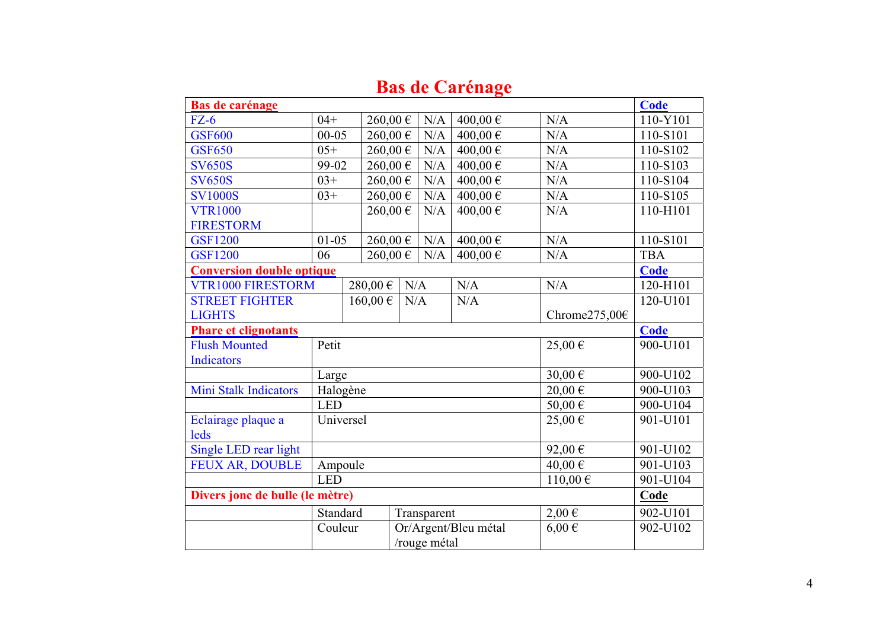| Bas de carénage                  |            |         |           |             |                              |               | <b>Code</b> |  |  |
|----------------------------------|------------|---------|-----------|-------------|------------------------------|---------------|-------------|--|--|
| $FZ-6$                           | $04+$      |         | 260,00€   | N/A         | $400,00 \in$                 | N/A           | 110-Y101    |  |  |
| <b>GSF600</b>                    | $00 - 05$  |         | 260,00€   | N/A         | 400,00€                      | N/A           | 110-S101    |  |  |
| <b>GSF650</b>                    | $05+$      |         | 260,00€   | N/A         | 400,00€                      | N/A           | 110-S102    |  |  |
| <b>SV650S</b>                    | 99-02      |         | 260,00€   | N/A         | 400,00€                      | N/A           | 110-S103    |  |  |
| <b>SV650S</b>                    | $03+$      |         | 260,00€   | N/A         | 400,00€                      | N/A           | 110-S104    |  |  |
| <b>SV1000S</b>                   | $03+$      |         | 260,00€   | N/A         | 400,00 $\overline{\epsilon}$ | N/A           | 110-S105    |  |  |
| <b>VTR1000</b>                   |            |         | 260,00€   | N/A         | 400,00€                      | N/A           | 110-H101    |  |  |
| <b>FIRESTORM</b>                 |            |         |           |             |                              |               |             |  |  |
| <b>GSF1200</b>                   | $01 - 05$  |         | 260,00€   | $\rm N/A$   | 400,00€                      | N/A           | 110-S101    |  |  |
| <b>GSF1200</b>                   | 06         |         | 260,00€   | N/A         | 400,00€                      | N/A           | <b>TBA</b>  |  |  |
| <b>Conversion double optique</b> |            |         |           |             |                              |               | <b>Code</b> |  |  |
| <b>VTR1000 FIRESTORM</b>         |            | 280,00€ | N/A       |             | N/A                          | N/A           | 120-H101    |  |  |
| <b>STREET FIGHTER</b>            |            | 160,00€ | $\rm N/A$ |             | N/A                          |               | 120-U101    |  |  |
| <b>LIGHTS</b>                    |            |         |           |             |                              | Chrome275,00€ |             |  |  |
| <b>Phare et clignotants</b>      |            |         |           |             |                              |               | <b>Code</b> |  |  |
| <b>Flush Mounted</b>             | Petit      |         |           |             |                              | 25,00€        | 900-U101    |  |  |
|                                  |            |         |           |             |                              |               |             |  |  |
| <b>Indicators</b>                |            |         |           |             |                              |               |             |  |  |
|                                  | Large      |         |           |             |                              | $30,00 \in$   | 900-U102    |  |  |
| <b>Mini Stalk Indicators</b>     | Halogène   |         |           |             |                              | 20,00€        | 900-U103    |  |  |
|                                  | <b>LED</b> |         |           |             |                              | 50,00€        | 900-U104    |  |  |
| Eclairage plaque a               | Universel  |         |           |             |                              | 25,00€        | 901-U101    |  |  |
| leds                             |            |         |           |             |                              |               |             |  |  |
| Single LED rear light            |            |         |           |             |                              | 92,00€        | 901-U102    |  |  |
| <b>FEUX AR, DOUBLE</b>           | Ampoule    |         |           |             |                              | 40,00€        | 901-U103    |  |  |
|                                  | <b>LED</b> |         |           |             |                              | $110,00 \in$  | 901-U104    |  |  |
| Divers jonc de bulle (le mètre)  |            |         |           |             |                              |               | Code        |  |  |
|                                  | Standard   |         |           | Transparent |                              | $2,00 \in$    | 902-U101    |  |  |
|                                  | Couleur    |         |           |             | Or/Argent/Bleu métal         | $6,00 \in$    | 902-U102    |  |  |

### **Bas de Carénage**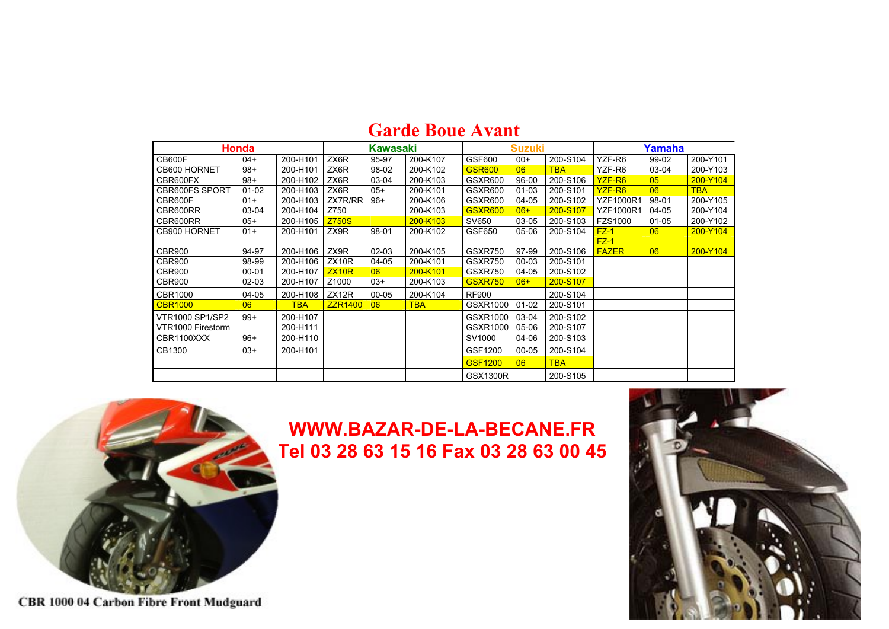|                       | <b>Honda</b> |            |                | <b>Kawasaki</b> |            |                 | <b>Suzuki</b> |            |                  | Yamaha         |            |  |  |
|-----------------------|--------------|------------|----------------|-----------------|------------|-----------------|---------------|------------|------------------|----------------|------------|--|--|
| CB600F                | $04+$        | 200-H101   | ZX6R           | 95-97           | 200-K107   | GSF600          | $00+$         | 200-S104   | YZF-R6           | 99-02          | 200-Y101   |  |  |
| CB600 HORNET          | $98+$        | 200-H101   | ZX6R           | 98-02           | 200-K102   | <b>GSR600</b>   | 06            | <b>TBA</b> | YZF-R6           | 03-04          | 200-Y103   |  |  |
| CBR600FX              | $98+$        | 200-H102   | ZX6R           | 03-04           | 200-K103   | <b>GSXR600</b>  | 96-00         | 200-S106   | YZF-R6           | 0 <sub>5</sub> | 200-Y104   |  |  |
| <b>CBR600FS SPORT</b> | $01 - 02$    | 200-H103   | ZX6R           | $05+$           | 200-K101   | <b>GSXR600</b>  | $01 - 03$     | 200-S101   | YZF-R6           | 06             | <b>TBA</b> |  |  |
| CBR600F               | $01+$        | 200-H103   | ZX7R/RR        | $96+$           | 200-K106   | GSXR600         | $04 - 05$     | 200-S102   | <b>YZF1000R1</b> | 98-01          | 200-Y105   |  |  |
| CBR600RR              | 03-04        | 200-H104   | Z750           |                 | 200-K103   | <b>GSXR600</b>  | $06+$         | 200-S107   | <b>YZF1000R1</b> | 04-05          | 200-Y104   |  |  |
| CBR600RR              | $05+$        | 200-H105   | <b>Z750S</b>   |                 | 200-K103   | SV650           | 03-05         | 200-S103   | <b>FZS1000</b>   | $01 - 05$      | 200-Y102   |  |  |
| CB900 HORNET          | $01+$        | 200-H101   | ZX9R           | 98-01           | 200-K102   | GSF650          | 05-06         | 200-S104   | $FZ-1$           | 06             | 200-Y104   |  |  |
|                       |              |            |                |                 |            |                 |               |            | $FZ-1$           |                |            |  |  |
| CBR900                | 94-97        | 200-H106   | ZX9R           | $02 - 03$       | 200-K105   | GSXR750         | 97-99         | 200-S106   | <b>FAZER</b>     | 06             | 200-Y104   |  |  |
| CBR900                | 98-99        | 200-H106   | ZX10R          | 04-05           | 200-K101   | GSXR750         | 00-03         | 200-S101   |                  |                |            |  |  |
| CBR900                | $00 - 01$    | 200-H107   | ZX10R          | 06              | 200-K101   | GSXR750         | 04-05         | 200-S102   |                  |                |            |  |  |
| <b>CBR900</b>         | 02-03        | 200-H107   | Z1000          | $03+$           | 200-K103   | <b>GSXR750</b>  | $06+$         | 200-S107   |                  |                |            |  |  |
| <b>CBR1000</b>        | 04-05        | 200-H108   | ZX12R          | $00 - 05$       | 200-K104   | <b>RF900</b>    |               | 200-S104   |                  |                |            |  |  |
| <b>CBR1000</b>        | 06           | <b>TBA</b> | <b>ZZR1400</b> | 06              | <b>TBA</b> | GSXR1000        | $01 - 02$     | 200-S101   |                  |                |            |  |  |
| VTR1000 SP1/SP2       | $99+$        | 200-H107   |                |                 |            | GSXR1000        | 03-04         | 200-S102   |                  |                |            |  |  |
| VTR1000 Firestorm     |              | 200-H111   |                |                 |            | GSXR1000        | 05-06         | 200-S107   |                  |                |            |  |  |
| CBR1100XXX            | $96+$        | 200-H110   |                |                 |            | SV1000          | 04-06         | 200-S103   |                  |                |            |  |  |
| CB1300                | $03+$        | 200-H101   |                |                 |            | GSF1200         | $00 - 05$     | 200-S104   |                  |                |            |  |  |
|                       |              |            |                |                 |            | <b>GSF1200</b>  | 06            | <b>TBA</b> |                  |                |            |  |  |
|                       |              |            |                |                 |            | <b>GSX1300R</b> |               | 200-S105   |                  |                |            |  |  |

### **Garde Boue Avant**



**WWW.BAZAR-DE-LA-BECANE.FR Tel 03 28 63 15 16 Fax 03 28 63 00 45**



CBR 1000 04 Carbon Fibre Front Mudguard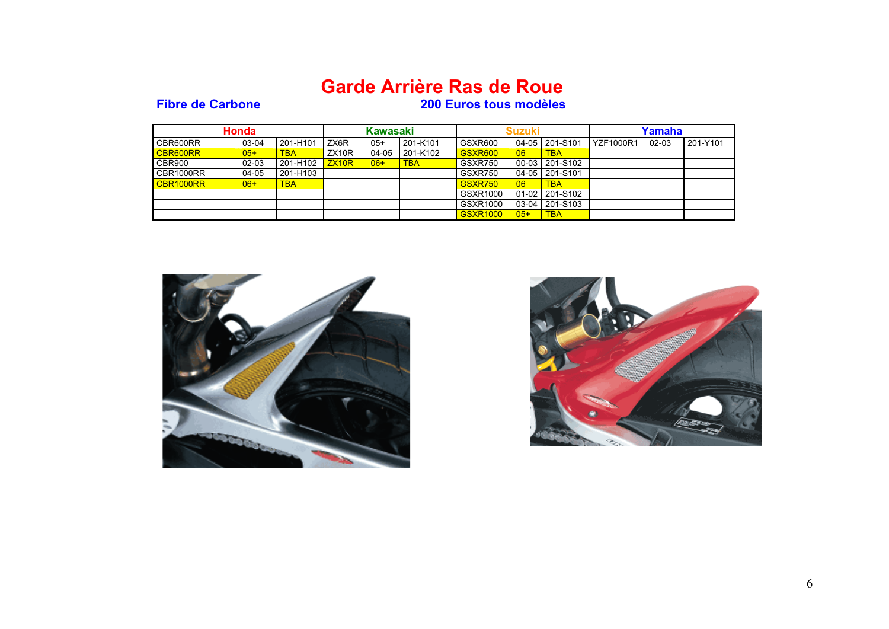### **Garde Arrière Ras de Roue**

#### **Fibre de Carbone 200 Euros tous modèles**

|           | <b>Honda</b> |            | <b>Kawasaki</b> |       | <b>Suzuki</b> |                 |       | Yamaha         |                   |           |          |
|-----------|--------------|------------|-----------------|-------|---------------|-----------------|-------|----------------|-------------------|-----------|----------|
| CBR600RR  | 03-04        | 201-H101   | ZX6R            | $05+$ | l 201-K101    | GSXR600         |       | 04-05 201-S101 | <b>LYZF1000R1</b> | $02 - 03$ | 201-Y101 |
| CBR600RR  | $05+$        | <b>TBA</b> | ZX10R           | 04-05 | l 201-K102    | GSXR600         | 06    | <b>TBA</b>     |                   |           |          |
| CBR900    | $02 - 03$    | 201-H102   | ZX10R           | $06+$ | <b>TBA</b>    | GSXR750         |       | 00-03 201-S102 |                   |           |          |
| CBR1000RR | 04-05        | 201-H103   |                 |       |               | GSXR750         |       | 04-05 201-S101 |                   |           |          |
| CBR1000RR | $06+$        | <b>TBA</b> |                 |       |               | GSXR750         | 06    | <b>TBA</b>     |                   |           |          |
|           |              |            |                 |       |               | GSXR1000        |       | 01-02 201-S102 |                   |           |          |
|           |              |            |                 |       |               | GSXR1000        |       | 03-04 201-S103 |                   |           |          |
|           |              |            |                 |       |               | <b>GSXR1000</b> | $05+$ | <b>TBA</b>     |                   |           |          |



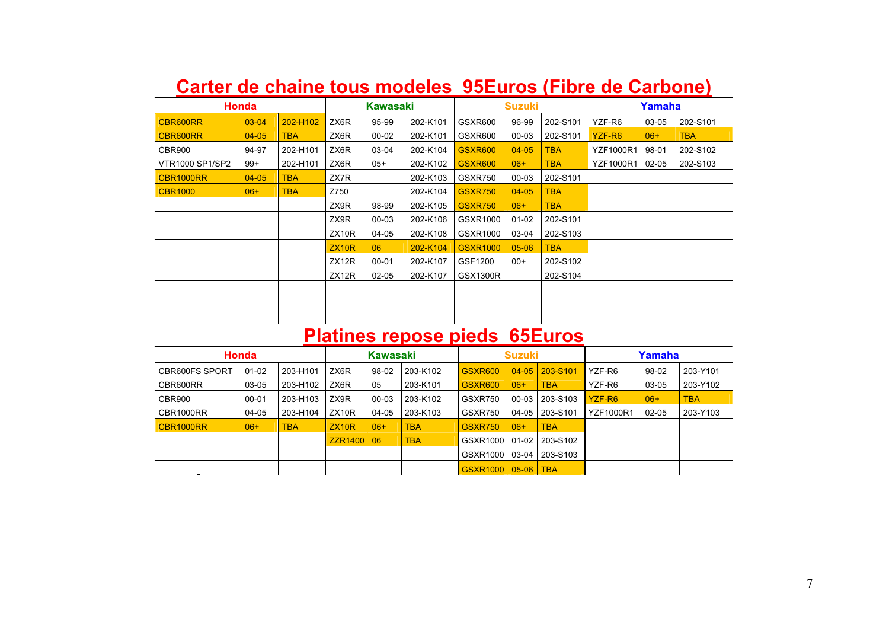| Carter de chaine tous modeles 95Euros (Fibre de Carbone) |              |            |          |           |          |                |               |            |                    |           |            |  |
|----------------------------------------------------------|--------------|------------|----------|-----------|----------|----------------|---------------|------------|--------------------|-----------|------------|--|
|                                                          | <b>Honda</b> |            | Kawasaki |           |          |                | <b>Suzuki</b> |            | Yamaha             |           |            |  |
| CBR600RR                                                 | 03-04        | 202-H102   | ZX6R     | 95-99     | 202-K101 | GSXR600        | 96-99         | 202-S101   | YZF-R6             | 03-05     | 202-S101   |  |
| CBR600RR                                                 | $04 - 05$    | <b>TBA</b> | ZX6R     | $00 - 02$ | 202-K101 | GSXR600        | $00 - 03$     | 202-S101   | YZF-R <sub>6</sub> | $06+$     | <b>TBA</b> |  |
| CBR900                                                   | 94-97        | 202-H101   | ZX6R     | 03-04     | 202-K104 | <b>GSXR600</b> | $04 - 05$     | <b>TBA</b> | <b>YZF1000R1</b>   | 98-01     | 202-S102   |  |
| VTR1000 SP1/SP2                                          | $99+$        | 202-H101   | ZX6R     | $05+$     | 202-K102 | <b>GSXR600</b> | $06+$         | TBA        | <b>YZF1000R1</b>   | $02 - 05$ | 202-S103   |  |
| CBR1000RR                                                | $04 - 05$    | TBA        | ZX7R     |           | 202-K103 | GSXR750        | 00-03         | 202-S101   |                    |           |            |  |

TBA

202-S102

202-S104

+ |TBA

01-02 202-S101

TBA Z750 202-K104 GSXR750 04-05

 $\overline{Z}$ X9R 00-03  $\overline{202}$ -K106  $\overline{GS}$ XR1000

ZX12R 02-05 202-K107 GSX1300R

ZX<sub>10R</sub>

ZX9R 98-99 I 202-K105 <mark>I GSXR750 06+</mark>

ZX12R 00-01 202-K107 GSF1200 00+ 202-S102

CBR1000

06+

### **Carter de chaine tous modeles 95Euros (Fibre de Carbone)**

# **Platines repose pieds 65Euros**

ZX10R 04-05 202-K108 GSXR1000 03-04 202-S103

06 202-K104 GSXR1000 05-06 TBA

|                       | Honda     |            | <b>Kawasaki</b>    |       |            | <b>Suzuki</b>   |           |                | Yamaha           |           |            |  |
|-----------------------|-----------|------------|--------------------|-------|------------|-----------------|-----------|----------------|------------------|-----------|------------|--|
| <b>CBR600FS SPORT</b> | $01 - 02$ | 203-H101   | ZX6R               | 98-02 | 203-K102   | <b>GSXR600</b>  | $04 - 05$ | $1203 - S101$  | YZF-R6           | 98-02     | 203-Y101   |  |
| CBR600RR              | 03-05     | 203-H102   | ZX6R               | 05    | 203-K101   | <b>GSXR600</b>  | $06+$     | <b>TBA</b>     | YZF-R6           | 03-05     | 203-Y102   |  |
| CBR900                | $00 - 01$ | 203-H103   | ZX9R               | 00-03 | 203-K102   | GSXR750         | $00 - 03$ | L203-S103      | YZF-R6           | $06+$     | <b>TBA</b> |  |
| CBR1000RR             | 04-05     | 203-H104   | ZX <sub>10</sub> R | 04-05 | 203-K103   | GSXR750         |           | 04-05 203-S101 | <b>YZF1000R1</b> | $02 - 05$ | 203-Y103   |  |
| CBR1000RR             | $06+$     | <b>TBA</b> | ZX10R              | $06+$ | <b>TBA</b> | <b>GSXR750</b>  | $06+$     | <b>TBA</b>     |                  |           |            |  |
|                       |           |            | ZZR1400 06         |       | <b>TBA</b> | GSXR1000        |           | 01-02 203-S102 |                  |           |            |  |
|                       |           |            |                    |       |            | GSXR1000        |           | 03-04 203-S103 |                  |           |            |  |
|                       |           |            |                    |       |            | <b>GSXR1000</b> | 05-06 TBA |                |                  |           |            |  |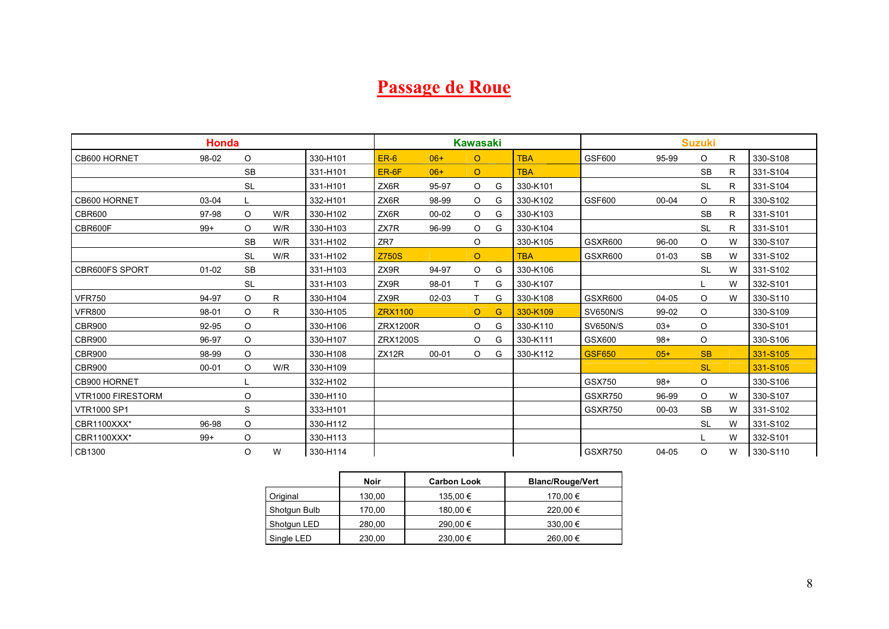## **Passage de Roue**

|                    | <b>Honda</b> |           |     |          |                    |           | <b>Kawasaki</b> |   |            |                 |           | <b>Suzuki</b> |    |          |
|--------------------|--------------|-----------|-----|----------|--------------------|-----------|-----------------|---|------------|-----------------|-----------|---------------|----|----------|
| CB600 HORNET       | 98-02        | $\circ$   |     | 330-H101 | $ER-6$             | $06+$     | $\circ$         |   | <b>TBA</b> | GSF600          | 95-99     | O             | R  | 330-S108 |
|                    |              | <b>SB</b> |     | 331-H101 | ER-6F              | $06+$     | $\circ$         |   | <b>TBA</b> |                 |           | <b>SB</b>     | R  | 331-S104 |
|                    |              | <b>SL</b> |     | 331-H101 | ZX6R               | 95-97     | $\circ$         | G | 330-K101   |                 |           | <b>SL</b>     | R  | 331-S104 |
| CB600 HORNET       | $03-04$      |           |     | 332-H101 | ZX6R               | 98-99     | $\circ$         | G | 330-K102   | GSF600          | $00 - 04$ | O             | R. | 330-S102 |
| CBR600             | 97-98        | $\circ$   | W/R | 330-H102 | ZX6R               | $00 - 02$ | $\circ$         | G | 330-K103   |                 |           | <b>SB</b>     | R  | 331-S101 |
| CBR600F            | $99+$        | $\circ$   | W/R | 330-H103 | ZX7R               | 96-99     | $\circ$         | G | 330-K104   |                 |           | <b>SL</b>     | R  | 331-S101 |
|                    |              | <b>SB</b> | W/R | 331-H102 | ZR7                |           | $\circ$         |   | 330-K105   | <b>GSXR600</b>  | 96-00     | O             | W  | 330-S107 |
|                    |              | <b>SL</b> | W/R | 331-H102 | <b>Z750S</b>       |           | $\circ$         |   | <b>TBA</b> | GSXR600         | $01 - 03$ | <b>SB</b>     | W  | 331-S102 |
| CBR600FS SPORT     | $01 - 02$    | <b>SB</b> |     | 331-H103 | ZX9R               | 94-97     | $\circ$         | G | 330-K106   |                 |           | <b>SL</b>     | W  | 331-S102 |
|                    |              | <b>SL</b> |     | 331-H103 | ZX9R               | 98-01     | т               | G | 330-K107   |                 |           |               | W  | 332-S101 |
| <b>VFR750</b>      | 94-97        | $\circ$   | R   | 330-H104 | ZX9R               | $02 - 03$ | T               | G | 330-K108   | <b>GSXR600</b>  | $04 - 05$ | O             | W  | 330-S110 |
| <b>VFR800</b>      | 98-01        | $\circ$   | R   | 330-H105 | <b>ZRX1100</b>     |           | $\circ$         | G | 330-K109   | <b>SV650N/S</b> | 99-02     | O             |    | 330-S109 |
| <b>CBR900</b>      | 92-95        | $\circ$   |     | 330-H106 | <b>ZRX1200R</b>    |           | $\circ$         | G | 330-K110   | <b>SV650N/S</b> | $03+$     | O             |    | 330-S101 |
| <b>CBR900</b>      | 96-97        | $\circ$   |     | 330-H107 | <b>ZRX1200S</b>    |           | $\circ$         | G | 330-K111   | GSX600          | $98+$     | O             |    | 330-S106 |
| <b>CBR900</b>      | 98-99        | $\circ$   |     | 330-H108 | ZX <sub>12</sub> R | $00 - 01$ | $\circ$         | G | 330-K112   | <b>GSF650</b>   | $05+$     | <b>SB</b>     |    | 331-S105 |
| <b>CBR900</b>      | $00 - 01$    | $\circ$   | W/R | 330-H109 |                    |           |                 |   |            |                 |           | <b>SL</b>     |    | 331-S105 |
| CB900 HORNET       |              |           |     | 332-H102 |                    |           |                 |   |            | GSX750          | $98+$     | $\circ$       |    | 330-S106 |
| VTR1000 FIRESTORM  |              | $\circ$   |     | 330-H110 |                    |           |                 |   |            | GSXR750         | 96-99     | $\circ$       | W  | 330-S107 |
| <b>VTR1000 SP1</b> |              | S         |     | 333-H101 |                    |           |                 |   |            | GSXR750         | 00-03     | <b>SB</b>     | W  | 331-S102 |
| CBR1100XXX*        | 96-98        | $\circ$   |     | 330-H112 |                    |           |                 |   |            |                 |           | <b>SL</b>     | W  | 331-S102 |
| CBR1100XXX*        | $99+$        | $\circ$   |     | 330-H113 |                    |           |                 |   |            |                 |           |               | W  | 332-S101 |
| CB1300             |              | $\circ$   | W   | 330-H114 |                    |           |                 |   |            | GSXR750         | 04-05     | O             | W  | 330-S110 |

|              | Noir   | <b>Carbon Look</b> | <b>Blanc/Rouge/Vert</b> |
|--------------|--------|--------------------|-------------------------|
| Original     | 130,00 | 135,00 €           | 170,00 €                |
| Shotgun Bulb | 170,00 | 180,00 €           | 220,00 €                |
| Shotgun LED  | 280,00 | 290,00 €           | 330,00 €                |
| Single LED   | 230,00 | 230,00 €           | 260,00 €                |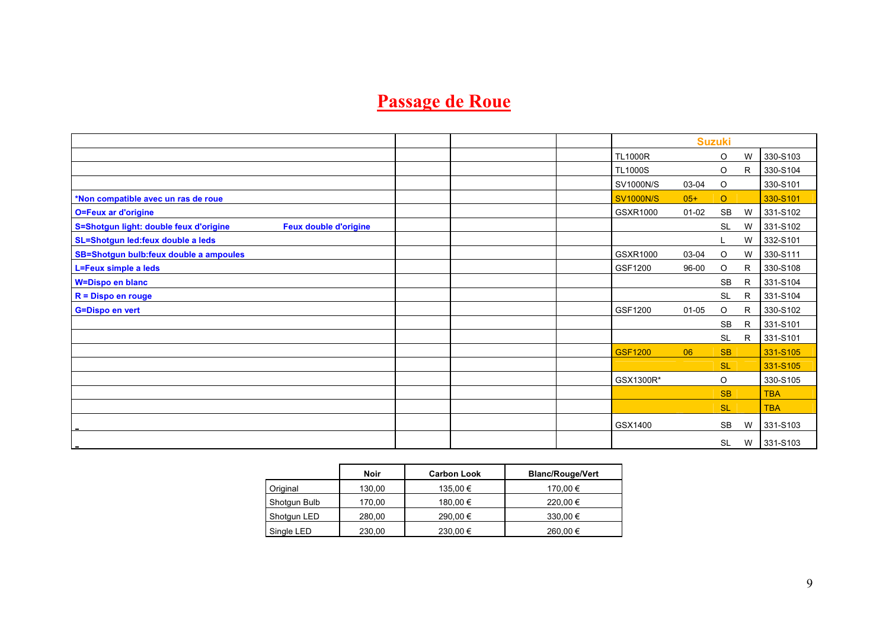## **Passage de Roue**

|                                                                        |  | <b>Suzuki</b>    |           |           |              |            |
|------------------------------------------------------------------------|--|------------------|-----------|-----------|--------------|------------|
|                                                                        |  | <b>TL1000R</b>   |           | O         | W            | 330-S103   |
|                                                                        |  | <b>TL1000S</b>   |           | $\circ$   | R            | 330-S104   |
|                                                                        |  | <b>SV1000N/S</b> | 03-04     | $\circ$   |              | 330-S101   |
| *Non compatible avec un ras de roue                                    |  | <b>SV1000N/S</b> | $05+$     | $\circ$   |              | 330-S101   |
| <b>O=Feux ar d'origine</b>                                             |  | GSXR1000         | 01-02     | <b>SB</b> | W            | 331-S102   |
| S=Shotgun light: double feux d'origine<br><b>Feux double d'origine</b> |  |                  |           | <b>SL</b> | W            | 331-S102   |
| SL=Shotgun led:feux double a leds                                      |  |                  |           |           | W            | 332-S101   |
| SB=Shotgun bulb:feux double a ampoules                                 |  | GSXR1000         | 03-04     | $\circ$   | W            | 330-S111   |
| <b>L=Feux simple a leds</b>                                            |  | GSF1200          | 96-00     | O         | R            | 330-S108   |
| <b>W=Dispo en blanc</b>                                                |  |                  |           | <b>SB</b> | R            | 331-S104   |
| $R = Dispo$ en rouge                                                   |  |                  |           | <b>SL</b> | R            | 331-S104   |
| <b>G=Dispo en vert</b>                                                 |  | GSF1200          | $01 - 05$ | O         | R            | 330-S102   |
|                                                                        |  |                  |           | <b>SB</b> | R            | 331-S101   |
|                                                                        |  |                  |           | <b>SL</b> | $\mathsf{R}$ | 331-S101   |
|                                                                        |  | <b>GSF1200</b>   | 06        | <b>SB</b> |              | 331-S105   |
|                                                                        |  |                  |           | <b>SL</b> |              | 331-S105   |
|                                                                        |  | GSX1300R*        |           | $\circ$   |              | 330-S105   |
|                                                                        |  |                  |           | <b>SB</b> |              | <b>TBA</b> |
|                                                                        |  |                  |           | <b>SL</b> |              | <b>TBA</b> |
|                                                                        |  | GSX1400          |           | SB        | W            | 331-S103   |
|                                                                        |  |                  |           | <b>SL</b> | W            | 331-S103   |

|              | Noir   | <b>Carbon Look</b> | <b>Blanc/Rouge/Vert</b> |
|--------------|--------|--------------------|-------------------------|
| Original     | 130.00 | 135,00 €           | 170,00 €                |
| Shotgun Bulb | 170,00 | 180,00 €           | 220,00 €                |
| Shotqun LED  | 280.00 | 290.00 €           | 330.00 €                |
| Single LED   | 230,00 | 230,00 €           | 260,00 €                |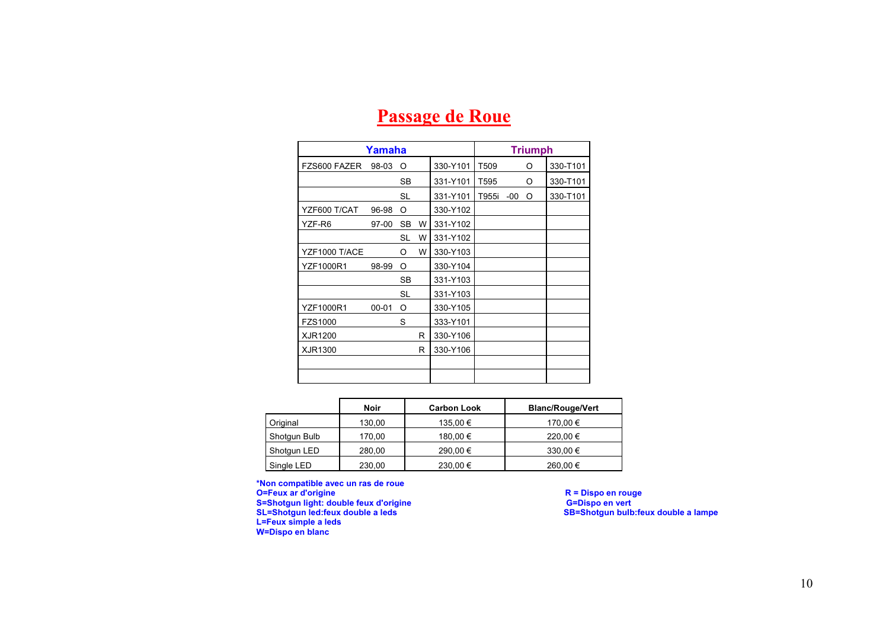|                  | Yamaha    |           |   |          |       |       | <b>Triumph</b> |          |
|------------------|-----------|-----------|---|----------|-------|-------|----------------|----------|
| FZS600 FAZER     | 98-03     | O         |   | 330-Y101 | T509  |       | O              | 330-T101 |
|                  |           | SB        |   | 331-Y101 | T595  |       | O              | 330-T101 |
|                  |           | <b>SL</b> |   | 331-Y101 | T955i | $-00$ | O              | 330-T101 |
| YZF600 T/CAT     | 96-98     | O         |   | 330-Y102 |       |       |                |          |
| YZF-R6           | $97-00$   | <b>SB</b> | W | 331-Y102 |       |       |                |          |
|                  |           | SL        | W | 331-Y102 |       |       |                |          |
| YZF1000 T/ACE    |           | Ω         | W | 330-Y103 |       |       |                |          |
| <b>YZF1000R1</b> | 98-99     | O         |   | 330-Y104 |       |       |                |          |
|                  |           | <b>SB</b> |   | 331-Y103 |       |       |                |          |
|                  |           | SL        |   | 331-Y103 |       |       |                |          |
| YZF1000R1        | $00 - 01$ | O         |   | 330-Y105 |       |       |                |          |
| FZS1000          |           | S         |   | 333-Y101 |       |       |                |          |
| XJR1200          |           |           | R | 330-Y106 |       |       |                |          |
| XJR1300          |           |           | R | 330-Y106 |       |       |                |          |
|                  |           |           |   |          |       |       |                |          |
|                  |           |           |   |          |       |       |                |          |

### **Passage de Roue**

|              | Noir   | <b>Carbon Look</b> | <b>Blanc/Rouge/Vert</b> |
|--------------|--------|--------------------|-------------------------|
| Original     | 130,00 | 135,00 €           | 170,00 €                |
| Shotgun Bulb | 170,00 | 180,00 €           | 220,00 €                |
| Shotgun LED  | 280,00 | 290,00 €           | 330,00 €                |
| Single LED   | 230,00 | 230,00 €           | 260,00 €                |

**\*Non compatible avec un ras de roue O=Feux ar d'origine R = Dispo en rouge S=Shotgun light: double feux d'origine General Community of G=Dispo en vert in the G=Dispo en vert L=Feux simple a leds W=Dispo en blanc** 

**R = Dispo en rouge<br>G=Dispo en vert<br>SB=Shotgun bulb:feux double a lampe**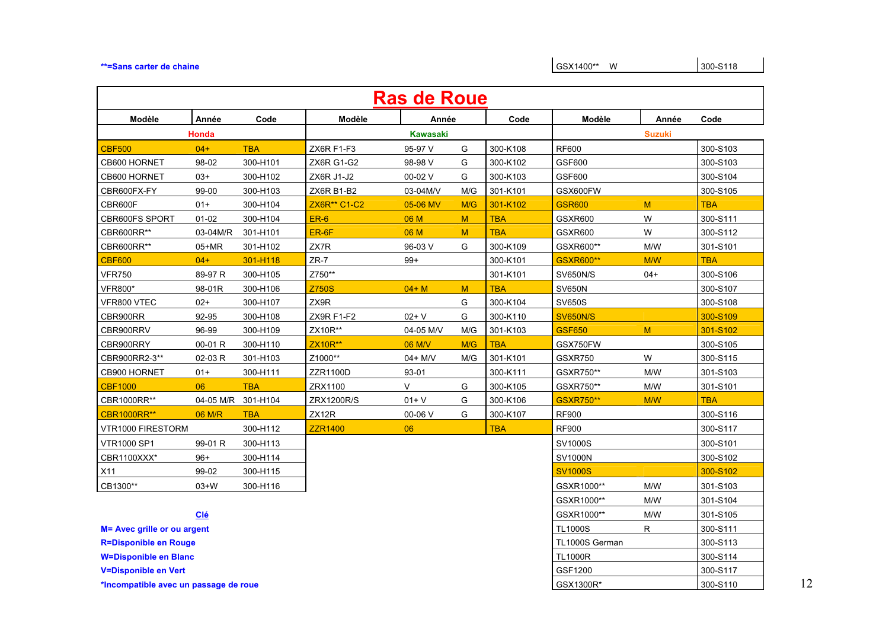#### **\*\*=Sans carter de chaine** <br>At a set of the chaine and set of the set of the set of the set of the SSX1400<sup>\*\*</sup> W

|                              | <b>Ras de Roue</b> |            |                          |                 |     |            |                  |               |            |  |  |  |  |
|------------------------------|--------------------|------------|--------------------------|-----------------|-----|------------|------------------|---------------|------------|--|--|--|--|
| Modèle                       | Année              | Code       | Modèle                   | Année           |     | Code       | Modèle           | Année         | Code       |  |  |  |  |
|                              | Honda              |            |                          | <b>Kawasaki</b> |     |            |                  | <b>Suzuki</b> |            |  |  |  |  |
| <b>CBF500</b>                | $04+$              | <b>TBA</b> | ZX6R F1-F3               | 95-97 V         | G   | 300-K108   | <b>RF600</b>     |               | 300-S103   |  |  |  |  |
| CB600 HORNET                 | 98-02              | 300-H101   | <b>ZX6R G1-G2</b>        | 98-98 V         | G   | 300-K102   | GSF600           |               | 300-S103   |  |  |  |  |
| CB600 HORNET                 | $03+$              | 300-H102   | ZX6R J1-J2               | 00-02 V         | G   | 300-K103   | GSF600           |               | 300-S104   |  |  |  |  |
| CBR600FX-FY                  | 99-00              | 300-H103   | ZX6R B1-B2               | 03-04M/V        | M/G | 301-K101   | GSX600FW         |               | 300-S105   |  |  |  |  |
| CBR600F                      | $01+$              | 300-H104   | ZX6R <sup>**</sup> C1-C2 | 05-06 MV        | M/G | 301-K102   | <b>GSR600</b>    | M             | <b>TBA</b> |  |  |  |  |
| <b>CBR600FS SPORT</b>        | $01 - 02$          | 300-H104   | <b>ER-6</b>              | 06 M            | M   | <b>TBA</b> | GSXR600          | W             | 300-S111   |  |  |  |  |
| CBR600RR**                   | 03-04M/R           | 301-H101   | ER-6F                    | 06 M            | M   | <b>TBA</b> | GSXR600          | W             | 300-S112   |  |  |  |  |
| CBR600RR**                   | $05+MR$            | 301-H102   | ZX7R                     | 96-03 V         | G   | 300-K109   | GSXR600**        | M/W           | 301-S101   |  |  |  |  |
| <b>CBF600</b>                | $04+$              | 301-H118   | $ZR-7$                   | $99+$           |     | 300-K101   | <b>GSXR600**</b> | M/W           | <b>TBA</b> |  |  |  |  |
| <b>VFR750</b>                | 89-97 R            | 300-H105   | Z750**                   |                 |     | 301-K101   | <b>SV650N/S</b>  | $04+$         | 300-S106   |  |  |  |  |
| <b>VFR800*</b>               | 98-01R             | 300-H106   | <b>Z750S</b>             | $04+M$          | M   | <b>TBA</b> | <b>SV650N</b>    |               | 300-S107   |  |  |  |  |
| VFR800 VTEC                  | $02+$              | 300-H107   | ZX9R                     |                 | G   | 300-K104   | <b>SV650S</b>    |               | 300-S108   |  |  |  |  |
| CBR900RR                     | 92-95              | 300-H108   | ZX9R F1-F2               | $02 + V$        | G   | 300-K110   | <b>SV650N/S</b>  |               | 300-S109   |  |  |  |  |
| CBR900RRV                    | 96-99              | 300-H109   | ZX10R**                  | 04-05 M/V       | M/G | 301-K103   | <b>GSF650</b>    | M             | 301-S102   |  |  |  |  |
| CBR900RRY                    | 00-01 R            | 300-H110   | ZX10R**                  | 06 M/V          | M/G | <b>TBA</b> | GSX750FW         |               | 300-S105   |  |  |  |  |
| CBR900RR2-3**                | 02-03 R            | 301-H103   | Z1000**                  | 04+ M/V         | M/G | 301-K101   | GSXR750          | W             | 300-S115   |  |  |  |  |
| CB900 HORNET                 | $01+$              | 300-H111   | ZZR1100D                 | 93-01           |     | 300-K111   | GSXR750**        | M/W           | 301-S103   |  |  |  |  |
| <b>CBF1000</b>               | 06                 | <b>TBA</b> | ZRX1100                  | V               | G   | 300-K105   | GSXR750**        | M/W           | 301-S101   |  |  |  |  |
| CBR1000RR**                  | 04-05 M/R          | 301-H104   | ZRX1200R/S               | $01 + V$        | G   | 300-K106   | GSXR750**        | M/W           | <b>TBA</b> |  |  |  |  |
| <b>CBR1000RR**</b>           | 06 M/R             | <b>TBA</b> | ZX12R                    | 00-06 V         | G   | 300-K107   | <b>RF900</b>     |               | 300-S116   |  |  |  |  |
| VTR1000 FIRESTORM            |                    | 300-H112   | <b>ZZR1400</b>           | 06              |     | <b>TBA</b> | <b>RF900</b>     |               | 300-S117   |  |  |  |  |
| <b>VTR1000 SP1</b>           | 99-01 R            | 300-H113   |                          |                 |     |            | SV1000S          |               | 300-S101   |  |  |  |  |
| CBR1100XXX*                  | $96+$              | 300-H114   |                          |                 |     |            | <b>SV1000N</b>   |               | 300-S102   |  |  |  |  |
| X11                          | 99-02              | 300-H115   |                          |                 |     |            | <b>SV1000S</b>   |               | 300-S102   |  |  |  |  |
| CB1300**                     | $03+N$             | 300-H116   |                          |                 |     |            | GSXR1000**       | M/W           | 301-S103   |  |  |  |  |
|                              |                    |            |                          |                 |     |            | GSXR1000**       | M/W           | 301-S104   |  |  |  |  |
|                              | <b>Clé</b>         |            |                          |                 |     |            | GSXR1000**       | M/W           | 301-S105   |  |  |  |  |
| M= Avec grille or ou argent  |                    |            |                          |                 |     |            | <b>TL1000S</b>   | R             | 300-S111   |  |  |  |  |
| <b>R=Disponible en Rouge</b> |                    |            |                          |                 |     |            | TL1000S German   |               | 300-S113   |  |  |  |  |
| <b>W=Disponible en Blanc</b> |                    |            |                          |                 |     |            | <b>TL1000R</b>   |               | 300-S114   |  |  |  |  |
| <b>V=Disponible en Vert</b>  |                    |            |                          |                 |     |            | GSF1200          |               | 300-S117   |  |  |  |  |

\*Incompatible avec un passage de roue **and a set of the set of the set of the set of the set of the set of the set of the set of the set of the set of the set of the set of the set of the set of the set of the set of the s**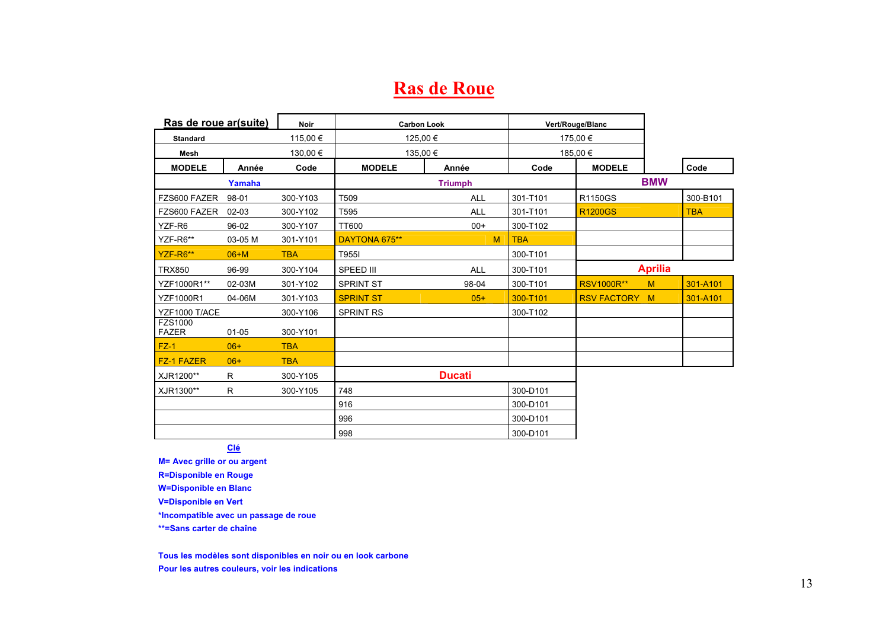### **Ras de Roue**

| Ras de roue ar(suite)   |           | <b>Noir</b> | <b>Carbon Look</b> |                |            | Vert/Rouge/Blanc     |                |            |
|-------------------------|-----------|-------------|--------------------|----------------|------------|----------------------|----------------|------------|
| <b>Standard</b>         |           | 115,00 €    | 125,00€            |                |            | 175,00 €             |                |            |
| Mesh                    |           | 130,00€     | 135,00 €           |                |            | 185,00€              |                |            |
| <b>MODELE</b>           | Année     | Code        | <b>MODELE</b>      | Année          | Code       | <b>MODELE</b>        |                | Code       |
|                         | Yamaha    |             |                    | <b>Triumph</b> |            |                      | <b>BMW</b>     |            |
| FZS600 FAZER            | 98-01     | 300-Y103    | T509               | ALL            | 301-T101   | R1150GS              |                | 300-B101   |
| FZS600 FAZER            | 02-03     | 300-Y102    | T595               | <b>ALL</b>     | 301-T101   | <b>R1200GS</b>       |                | <b>TBA</b> |
| YZF-R6                  | 96-02     | 300-Y107    | TT600              | $00+$          | 300-T102   |                      |                |            |
| YZF-R6**                | 03-05 M   | 301-Y101    | DAYTONA 675**      | M              | <b>TBA</b> |                      |                |            |
| YZF-R6**                | $06+M$    | <b>TBA</b>  | T955I              |                | 300-T101   |                      |                |            |
| <b>TRX850</b>           | 96-99     | 300-Y104    | SPEED III          | <b>ALL</b>     | 300-T101   |                      | <b>Aprilia</b> |            |
| YZF1000R1**             | 02-03M    | 301-Y102    | <b>SPRINT ST</b>   | 98-04          | 300-T101   | <b>RSV1000R**</b>    | M              | 301-A101   |
| <b>YZF1000R1</b>        | 04-06M    | 301-Y103    | <b>SPRINT ST</b>   | $05+$          | 300-T101   | <b>RSV FACTORY M</b> |                | 301-A101   |
| YZF1000 T/ACE           |           | 300-Y106    | <b>SPRINT RS</b>   |                | 300-T102   |                      |                |            |
| FZS1000<br><b>FAZER</b> | $01 - 05$ | 300-Y101    |                    |                |            |                      |                |            |
| $FZ-1$                  | $06+$     | <b>TBA</b>  |                    |                |            |                      |                |            |
| <b>FZ-1 FAZER</b>       | $06+$     | <b>TBA</b>  |                    |                |            |                      |                |            |
| XJR1200**               | R         | 300-Y105    |                    | <b>Ducati</b>  |            |                      |                |            |
| XJR1300**               | R         | 300-Y105    | 748                |                | 300-D101   |                      |                |            |
|                         |           |             | 916                |                | 300-D101   |                      |                |            |
|                         |           |             | 996                |                | 300-D101   |                      |                |            |
|                         |           |             | 998                |                | 300-D101   |                      |                |            |

**Clé**

**M= Avec grille or ou argent R=Disponible en Rouge W=Disponible en Blanc V=Disponible en Vert** 

**\*Incompatible avec un passage de roue** 

**\*\*=Sans carter de chaîne** 

**Tous les modèles sont disponibles en noir ou en look carbone Pour les autres couleurs, voir les indications**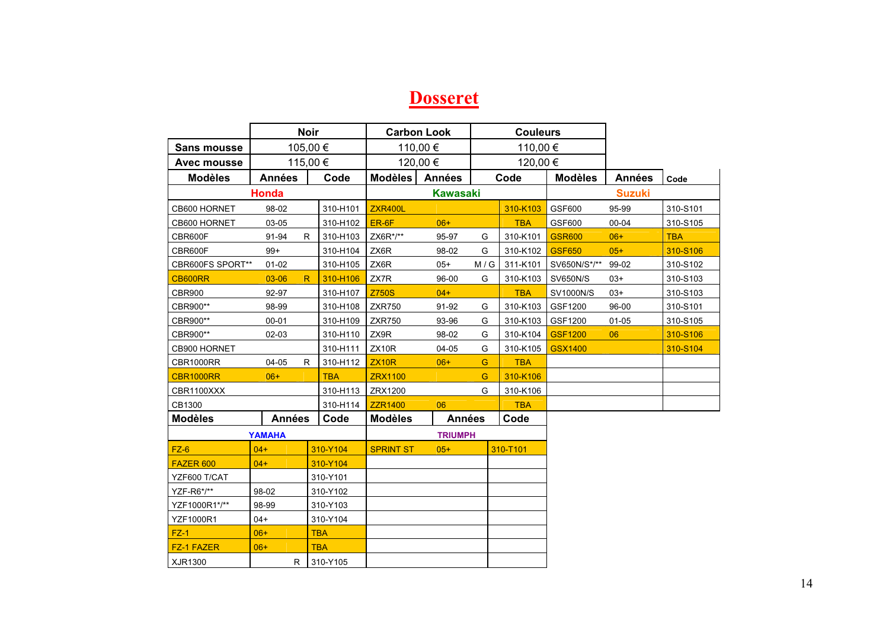#### **Dosseret**

|                    |               | <b>Noir</b>    |                  | <b>Carbon Look</b> |     | <b>Couleurs</b> |                 |               |            |
|--------------------|---------------|----------------|------------------|--------------------|-----|-----------------|-----------------|---------------|------------|
| <b>Sans mousse</b> |               | 105,00€        |                  | 110,00€            |     | 110,00 €        |                 |               |            |
| <b>Avec mousse</b> |               | 115,00 €       |                  | 120,00 €           |     | 120,00 €        |                 |               |            |
| <b>Modèles</b>     | <b>Années</b> | Code           | <b>Modèles</b>   | <b>Années</b>      |     | Code            | <b>Modèles</b>  | <b>Années</b> | Code       |
|                    | Honda         |                |                  | <b>Kawasaki</b>    |     |                 |                 | <b>Suzuki</b> |            |
| CB600 HORNET       | 98-02         | 310-H101       | <b>ZXR400L</b>   |                    |     | 310-K103        | GSF600          | 95-99         | 310-S101   |
| CB600 HORNET       | 03-05         | 310-H102       | ER-6F            | $06+$              |     | <b>TBA</b>      | GSF600          | $00 - 04$     | 310-S105   |
| CBR600F            | 91-94         | R<br>310-H103  | ZX6R*/**         | 95-97              | G   | 310-K101        | <b>GSR600</b>   | $06+$         | <b>TBA</b> |
| CBR600F            | $99+$         | 310-H104       | ZX6R             | 98-02              | G   | 310-K102        | <b>GSF650</b>   | $05+$         | 310-S106   |
| CBR600FS SPORT**   | $01 - 02$     | 310-H105       | ZX6R             | $05+$              | M/G | 311-K101        | SV650N/S*/**    | 99-02         | 310-S102   |
| CB600RR            | $03 - 06$     | 310-H106<br>R  | ZX7R             | 96-00              | G   | 310-K103        | <b>SV650N/S</b> | $03+$         | 310-S103   |
| <b>CBR900</b>      | 92-97         | 310-H107       | <b>Z750S</b>     | $04+$              |     | <b>TBA</b>      | SV1000N/S       | $03+$         | 310-S103   |
| CBR900**           | 98-99         | 310-H108       | <b>ZXR750</b>    | 91-92              | G   | 310-K103        | GSF1200         | 96-00         | 310-S101   |
| CBR900**           | $00 - 01$     | 310-H109       | <b>ZXR750</b>    | 93-96              | G   | 310-K103        | GSF1200         | $01 - 05$     | 310-S105   |
| CBR900**           | 02-03         | 310-H110       | ZX9R             | 98-02              | G   | 310-K104        | <b>GSF1200</b>  | 06            | 310-S106   |
| CB900 HORNET       |               | 310-H111       | ZX10R            | 04-05              | G   | 310-K105        | <b>GSX1400</b>  |               | 310-S104   |
| CBR1000RR          | 04-05         | R.<br>310-H112 | <b>ZX10R</b>     | $06+$              | G   | <b>TBA</b>      |                 |               |            |
| <b>CBR1000RR</b>   | $06+$         | <b>TBA</b>     | <b>ZRX1100</b>   |                    | G   | 310-K106        |                 |               |            |
| CBR1100XXX         |               | 310-H113       | ZRX1200          |                    | G   | 310-K106        |                 |               |            |
| CB1300             |               | 310-H114       | <b>ZZR1400</b>   | 06                 |     | <b>TBA</b>      |                 |               |            |
| <b>Modèles</b>     | <b>Années</b> | Code           | <b>Modèles</b>   | <b>Années</b>      |     | Code            |                 |               |            |
|                    | <b>YAMAHA</b> |                |                  | <b>TRIUMPH</b>     |     |                 |                 |               |            |
| $FZ-6$             | $04+$         | 310-Y104       | <b>SPRINT ST</b> | $05+$              |     | 310-T101        |                 |               |            |
| FAZER 600          | $04 +$        | 310-Y104       |                  |                    |     |                 |                 |               |            |
| YZF600 T/CAT       |               | 310-Y101       |                  |                    |     |                 |                 |               |            |
| YZF-R6*/**         | 98-02         | 310-Y102       |                  |                    |     |                 |                 |               |            |
| YZF1000R1*/**      | 98-99         | 310-Y103       |                  |                    |     |                 |                 |               |            |
| <b>YZF1000R1</b>   | $04+$         | 310-Y104       |                  |                    |     |                 |                 |               |            |
| $FZ-1$             | $06+$         | <b>TBA</b>     |                  |                    |     |                 |                 |               |            |
| <b>FZ-1 FAZER</b>  | $06+$         | <b>TBA</b>     |                  |                    |     |                 |                 |               |            |
| XJR1300            | R             | 310-Y105       |                  |                    |     |                 |                 |               |            |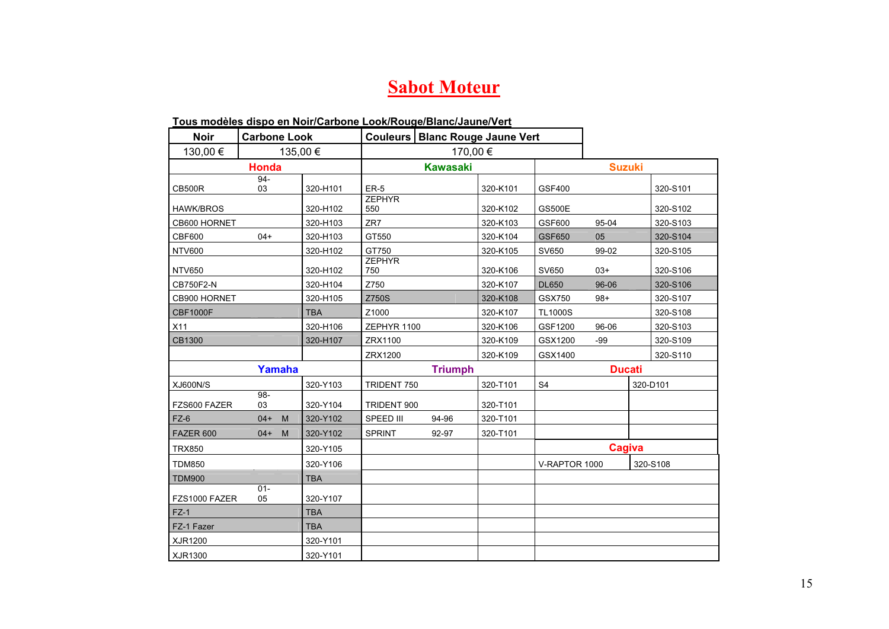### **Sabot Moteur**

#### **Tous modèles dispo en Noir/Carbone Look/Rouge/Blanc/Jaune/Vert**

| <b>Noir</b>      | <b>Carbone Look</b> |          |            |                      |                 | Couleurs   Blanc Rouge Jaune Vert |                |               |  |          |  |
|------------------|---------------------|----------|------------|----------------------|-----------------|-----------------------------------|----------------|---------------|--|----------|--|
| 130,00 €         |                     | 135,00 € |            |                      |                 | 170,00€                           |                |               |  |          |  |
|                  | <b>Honda</b>        |          |            |                      | <b>Kawasaki</b> |                                   |                | <b>Suzuki</b> |  |          |  |
| <b>CB500R</b>    | 94-<br>03           |          | 320-H101   | <b>ER-5</b>          |                 | 320-K101                          | GSF400         |               |  | 320-S101 |  |
| <b>HAWK/BROS</b> |                     |          | 320-H102   | <b>ZEPHYR</b><br>550 |                 | 320-K102                          | <b>GS500E</b>  |               |  | 320-S102 |  |
| CB600 HORNET     |                     |          | 320-H103   | ZR7                  |                 | 320-K103                          | GSF600         | 95-04         |  | 320-S103 |  |
| <b>CBF600</b>    | $04+$               |          | 320-H103   | GT550                |                 | 320-K104                          | <b>GSF650</b>  | 05            |  | 320-S104 |  |
| <b>NTV600</b>    |                     |          | 320-H102   | GT750                |                 | 320-K105                          | SV650          | 99-02         |  | 320-S105 |  |
| <b>NTV650</b>    |                     |          | 320-H102   | <b>ZEPHYR</b><br>750 |                 | 320-K106                          | SV650          | $03+$         |  | 320-S106 |  |
| CB750F2-N        |                     |          | 320-H104   | Z750                 |                 | 320-K107                          | <b>DL650</b>   | 96-06         |  | 320-S106 |  |
| CB900 HORNET     |                     |          | 320-H105   | Z750S                |                 | 320-K108                          | GSX750         | $98+$         |  | 320-S107 |  |
| <b>CBF1000F</b>  |                     |          | <b>TBA</b> | Z1000                |                 | 320-K107                          | <b>TL1000S</b> |               |  | 320-S108 |  |
| X11              |                     |          | 320-H106   | ZEPHYR 1100          |                 | 320-K106                          | GSF1200        | 96-06         |  | 320-S103 |  |
| CB1300           |                     |          | 320-H107   | ZRX1100              |                 | 320-K109                          | GSX1200        | $-99$         |  | 320-S109 |  |
|                  |                     |          |            | ZRX1200              |                 | 320-K109                          | GSX1400        |               |  | 320-S110 |  |
|                  |                     | Yamaha   |            |                      | <b>Triumph</b>  |                                   |                | <b>Ducati</b> |  |          |  |
| <b>XJ600N/S</b>  |                     |          | 320-Y103   | TRIDENT 750          |                 | 320-T101                          | S <sub>4</sub> |               |  | 320-D101 |  |
| FZS600 FAZER     | $98-$<br>03         |          | 320-Y104   | TRIDENT 900          |                 | 320-T101                          |                |               |  |          |  |
| $FZ-6$           | $04+$               | M        | 320-Y102   | SPEED III            | 94-96           | 320-T101                          |                |               |  |          |  |
| FAZER 600        | $04+$               | M        | 320-Y102   | <b>SPRINT</b>        | 92-97           | 320-T101                          |                |               |  |          |  |
| <b>TRX850</b>    |                     |          | 320-Y105   |                      |                 |                                   |                | Cagiva        |  |          |  |
| <b>TDM850</b>    |                     |          | 320-Y106   |                      |                 |                                   | V-RAPTOR 1000  |               |  | 320-S108 |  |
| <b>TDM900</b>    |                     |          | <b>TBA</b> |                      |                 |                                   |                |               |  |          |  |
| FZS1000 FAZER    | $01 -$<br>05        |          | 320-Y107   |                      |                 |                                   |                |               |  |          |  |
| $FZ-1$           |                     |          | <b>TBA</b> |                      |                 |                                   |                |               |  |          |  |
| FZ-1 Fazer       |                     |          | <b>TBA</b> |                      |                 |                                   |                |               |  |          |  |
| XJR1200          |                     |          | 320-Y101   |                      |                 |                                   |                |               |  |          |  |
| XJR1300          |                     |          | 320-Y101   |                      |                 |                                   |                |               |  |          |  |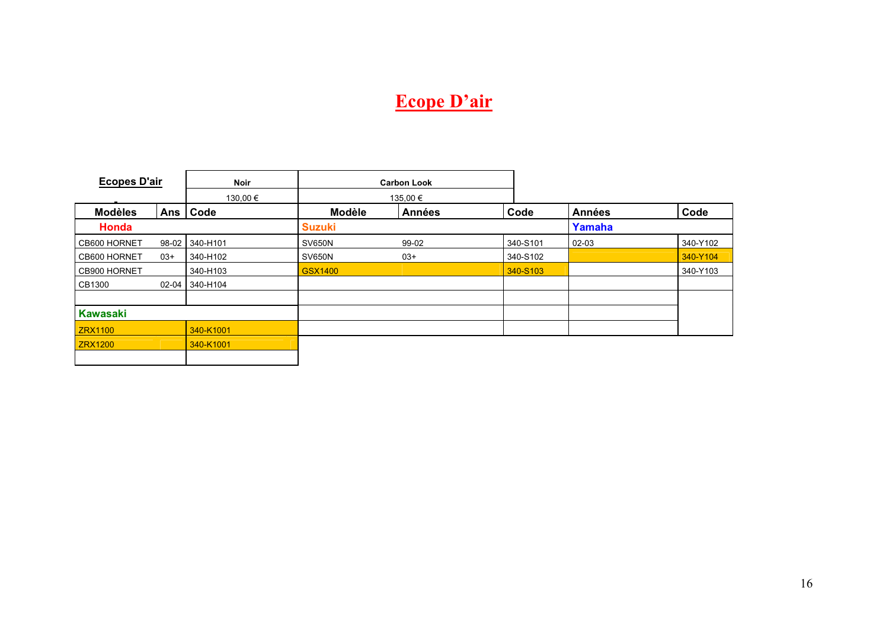# **Ecope D'air**

| <b>Ecopes D'air</b> |           | <b>Noir</b> |                | <b>Carbon Look</b> |          |               |          |
|---------------------|-----------|-------------|----------------|--------------------|----------|---------------|----------|
|                     |           | 130,00€     |                | 135,00 €           |          |               |          |
| <b>Modèles</b>      | Ans       | Code        | <b>Modèle</b>  | <b>Années</b>      | Code     | <b>Années</b> | Code     |
| Honda               |           |             | <b>Suzuki</b>  |                    |          | Yamaha        |          |
| CB600 HORNET        | 98-02     | 340-H101    | <b>SV650N</b>  | 99-02              | 340-S101 | $02-03$       | 340-Y102 |
| CB600 HORNET        | $03+$     | 340-H102    | <b>SV650N</b>  | $03+$              | 340-S102 |               | 340-Y104 |
| CB900 HORNET        |           | 340-H103    | <b>GSX1400</b> |                    | 340-S103 |               | 340-Y103 |
| CB1300              | $02 - 04$ | 340-H104    |                |                    |          |               |          |
|                     |           |             |                |                    |          |               |          |
| <b>Kawasaki</b>     |           |             |                |                    |          |               |          |
| <b>ZRX1100</b>      |           | 340-K1001   |                |                    |          |               |          |
| <b>ZRX1200</b>      |           | 340-K1001   |                |                    |          |               |          |
|                     |           |             |                |                    |          |               |          |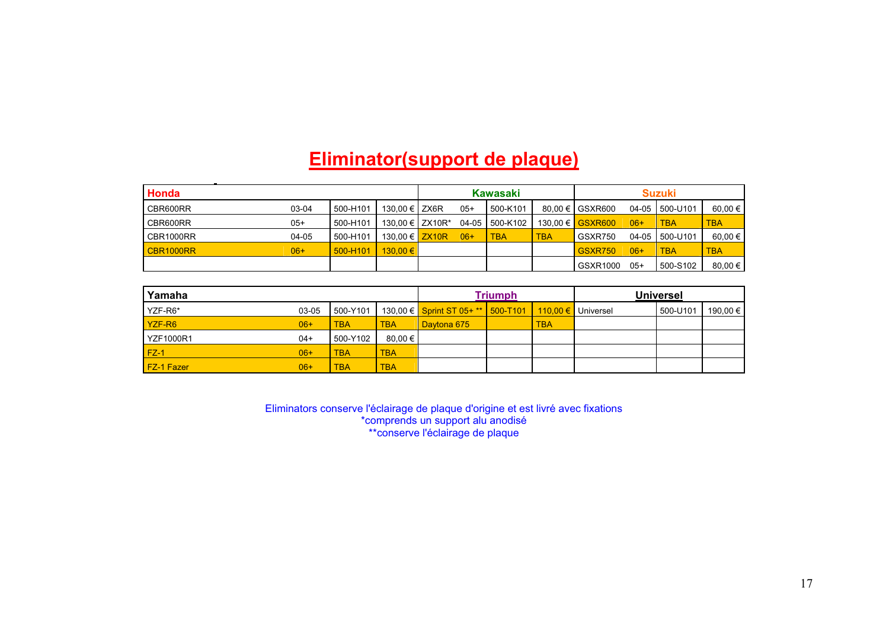## **Eliminator(support de plaque)**

| Honda     |       |          | <b>Kawasaki</b>                |       | <b>Suzuki</b>  |            |                   |       |                |               |
|-----------|-------|----------|--------------------------------|-------|----------------|------------|-------------------|-------|----------------|---------------|
| CBR600RR  | 03-04 | 500-H101 | 130.00 € LZX6R                 | $05+$ | 500-K101       |            | 80.00 € I GSXR600 |       | 04-05 500-U101 | $60.00 \in I$ |
| CBR600RR  | $05+$ | 500-H101 | 130.00 € $\overline{2}$ ZX10R* |       | 04-05 500-K102 |            | 130.00 € GSXR600  | $06+$ | <b>TBA</b>     | <b>TBA</b>    |
| CBR1000RR | 04-05 | 500-H101 | 130.00 € $\mathsf{ZX10R}$      | $06+$ | <b>TBA</b>     | <b>TBA</b> | GSXR750           |       | 04-05 500-U101 | 60.00 $\in$   |
| CBR1000RR | $06+$ | 500-H101 | $130.00 \in$                   |       |                |            | <b>GSXR750</b>    | $06+$ | <b>TBA</b>     | <b>TBA</b>    |
|           |       |          |                                |       |                |            | GSXR1000          | $05+$ | 500-S102       | $80.00 \in I$ |

| Yamaha            | <b>Triumph</b> |            |            | <b>Universel</b>                   |  |            |           |          |            |
|-------------------|----------------|------------|------------|------------------------------------|--|------------|-----------|----------|------------|
| YZF-R6*           | 03-05          | 500-Y101 L |            | 130,00 € Sprint ST 05+ ** 500-T101 |  | 110.00 €   | Universel | 500-U101 | 190.00 € I |
| YZF-R6            | $06+$          | <b>TBA</b> | <b>TBA</b> | Davtona 675                        |  | <b>TBA</b> |           |          |            |
| <b>YZF1000R1</b>  | 04+            | 500-Y102   | 80.00 €    |                                    |  |            |           |          |            |
| $FZ-1$            | $06+$          | <b>TBA</b> | <b>TBA</b> |                                    |  |            |           |          |            |
| <b>FZ-1 Fazer</b> | $06+$          | <b>TBA</b> | <b>TBA</b> |                                    |  |            |           |          |            |

Eliminators conserve l'éclairage de plaque d'origine et est livré avec fixations \*comprends un support alu anodisé \*\*conserve l'éclairage de plaque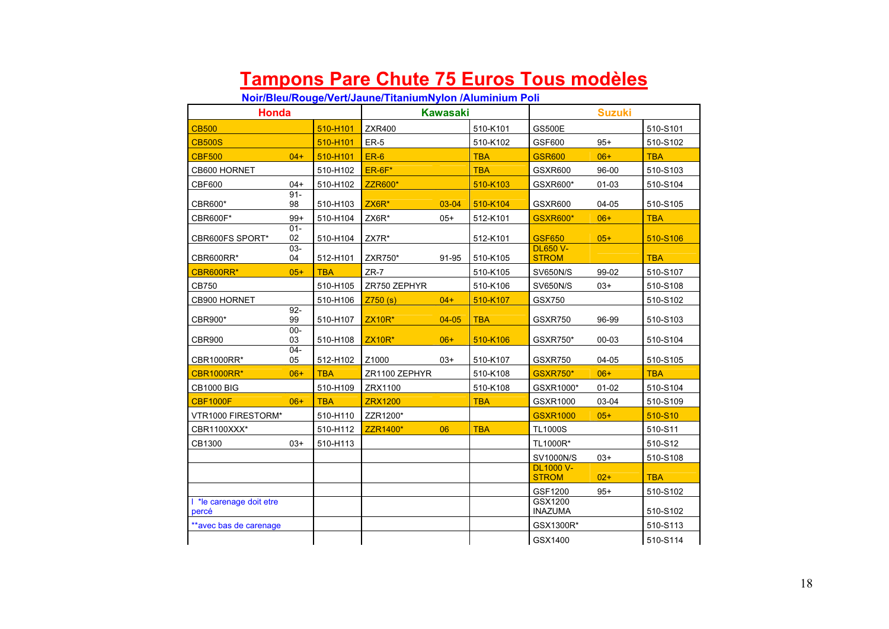## **Tampons Pare Chute 75 Euros Tous modèles**

**Noir/Bleu/Rouge/Vert/Jaune/TitaniumNylon /Aluminium Poli** 

| <b>Honda</b>                    |              |            |                | <b>Kawasaki</b> |            |                                  | <b>Suzuki</b> |            |
|---------------------------------|--------------|------------|----------------|-----------------|------------|----------------------------------|---------------|------------|
| <b>CB500</b>                    |              | 510-H101   | <b>ZXR400</b>  |                 | 510-K101   | <b>GS500E</b>                    |               | 510-S101   |
| <b>CB500S</b>                   |              | 510-H101   | $ER-5$         |                 | 510-K102   | GSF600                           | $95+$         | 510-S102   |
| <b>CBF500</b>                   | $04+$        | 510-H101   | $ER-6$         |                 | <b>TBA</b> | <b>GSR600</b>                    | $06+$         | <b>TBA</b> |
| CB600 HORNET                    |              | 510-H102   | $ER-6F*$       |                 | <b>TBA</b> | GSXR600                          | 96-00         | 510-S103   |
| <b>CBF600</b>                   | $04+$        | 510-H102   | <b>ZZR600*</b> |                 | 510-K103   | GSXR600*                         | 01-03         | 510-S104   |
| CBR600*                         | $91 -$<br>98 | 510-H103   | $ZX6R*$        | 03-04           | 510-K104   | GSXR600                          | 04-05         | 510-S105   |
| CBR600F*                        | $99+$        | 510-H104   | ZX6R*          | $05+$           | 512-K101   | <b>GSXR600*</b>                  | $06+$         | <b>TBA</b> |
| CBR600FS SPORT*                 | $01 -$<br>02 | 510-H104   | ZX7R*          |                 | 512-K101   | <b>GSF650</b>                    | $05+$         | 510-S106   |
| CBR600RR*                       | $03 -$<br>04 | 512-H101   | ZXR750*        | 91-95           | 510-K105   | <b>DL650 V-</b><br><b>STROM</b>  |               | <b>TBA</b> |
| CBR600RR*                       | $05+$        | <b>TBA</b> | $ZR-7$         |                 | 510-K105   | <b>SV650N/S</b>                  | 99-02         | 510-S107   |
| CB750                           |              | 510-H105   | ZR750 ZEPHYR   |                 | 510-K106   | <b>SV650N/S</b>                  | $03+$         | 510-S108   |
| CB900 HORNET                    |              | 510-H106   | Z750(s)        | $04+$           | 510-K107   | GSX750                           |               | 510-S102   |
| CBR900*                         | $92 -$<br>99 | 510-H107   | <b>ZX10R*</b>  | $04 - 05$       | <b>TBA</b> | GSXR750                          | 96-99         | 510-S103   |
| <b>CBR900</b>                   | $00 -$<br>03 | 510-H108   | <b>ZX10R*</b>  | $06+$           | 510-K106   | GSXR750*                         | 00-03         | 510-S104   |
| <b>CBR1000RR*</b>               | $04 -$<br>05 | 512-H102   | Z1000          | $03+$           | 510-K107   | GSXR750                          | 04-05         | 510-S105   |
| <b>CBR1000RR*</b>               | $06+$        | <b>TBA</b> | ZR1100 ZEPHYR  |                 | 510-K108   | <b>GSXR750*</b>                  | $06+$         | <b>TBA</b> |
| <b>CB1000 BIG</b>               |              | 510-H109   | ZRX1100        |                 | 510-K108   | GSXR1000*                        | $01-02$       | 510-S104   |
| <b>CBF1000F</b>                 | $06+$        | <b>TBA</b> | <b>ZRX1200</b> |                 | <b>TBA</b> | GSXR1000                         | 03-04         | 510-S109   |
| VTR1000 FIRESTORM*              |              | 510-H110   | ZZR1200*       |                 |            | <b>GSXR1000</b>                  | $05+$         | 510-S10    |
| CBR1100XXX*                     |              | 510-H112   | ZZR1400*       | 06              | <b>TBA</b> | <b>TL1000S</b>                   |               | 510-S11    |
| CB1300                          | $03+$        | 510-H113   |                |                 |            | TL1000R*                         |               | 510-S12    |
|                                 |              |            |                |                 |            | <b>SV1000N/S</b>                 | $03+$         | 510-S108   |
|                                 |              |            |                |                 |            | <b>DL1000 V-</b><br><b>STROM</b> | $02+$         | <b>TBA</b> |
|                                 |              |            |                |                 |            | GSF1200                          | $95+$         | 510-S102   |
| *le carenage doit etre<br>percé |              |            |                |                 |            | GSX1200<br><b>INAZUMA</b>        |               | 510-S102   |
| **avec bas de carenage          |              |            |                |                 |            | GSX1300R*                        |               | 510-S113   |
|                                 |              |            |                |                 |            | GSX1400                          |               | 510-S114   |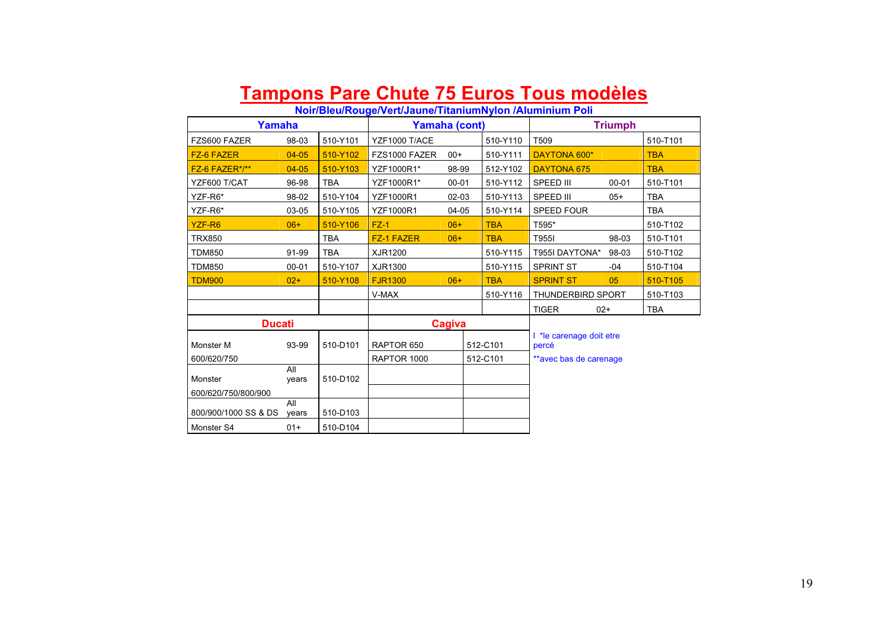### **Tampons Pare Chute 75 Euros Tous modèles**

#### **Noir/Bleu/Rouge/Vert/Jaune/TitaniumNylon /Aluminium Poli**

|                      | Yamaha       |            |                  | Yamaha (cont) |            |                                | <b>Triumph</b> |            |  |
|----------------------|--------------|------------|------------------|---------------|------------|--------------------------------|----------------|------------|--|
| FZS600 FAZER         | 98-03        | 510-Y101   | YZF1000 T/ACE    |               | 510-Y110   | T509                           |                | 510-T101   |  |
| <b>FZ-6 FAZER</b>    | $04 - 05$    | 510-Y102   | FZS1000 FAZER    | $00+$         | 510-Y111   | DAYTONA 600*                   |                | <b>TBA</b> |  |
| FZ-6 FAZER*/**       | $04 - 05$    | 510-Y103   | YZF1000R1*       | 98-99         | 512-Y102   | <b>DAYTONA 675</b>             |                | <b>TBA</b> |  |
| YZF600 T/CAT         | 96-98        | <b>TBA</b> | YZF1000R1*       | $00 - 01$     | 510-Y112   | SPEED III                      | $00 - 01$      | 510-T101   |  |
| YZF-R6*              | 98-02        | 510-Y104   | <b>YZF1000R1</b> | $02 - 03$     | 510-Y113   | SPEED III                      | $05+$          | <b>TBA</b> |  |
| YZF-R6*              | 03-05        | 510-Y105   | <b>YZF1000R1</b> | $04-05$       | 510-Y114   | <b>SPEED FOUR</b>              |                | <b>TBA</b> |  |
| YZF-R6               | $06+$        | 510-Y106   | $FZ-1$           | $06+$         | <b>TBA</b> | T595*                          |                | 510-T102   |  |
| <b>TRX850</b>        |              | <b>TBA</b> | FZ-1 FAZER       | $06+$         | <b>TBA</b> | T955I                          | 98-03          | 510-T101   |  |
| <b>TDM850</b>        | 91-99        | <b>TBA</b> | XJR1200          |               | 510-Y115   | T955I DAYTONA*                 | 98-03          | 510-T102   |  |
| <b>TDM850</b>        | $00 - 01$    | 510-Y107   | XJR1300          |               | 510-Y115   | <b>SPRINT ST</b>               | $-04$          | 510-T104   |  |
| <b>TDM900</b>        | $02+$        | 510-Y108   | <b>FJR1300</b>   | $06+$         | <b>TBA</b> | <b>SPRINT ST</b>               | 05             | 510-T105   |  |
|                      |              |            | V-MAX            |               | 510-Y116   | <b>THUNDERBIRD SPORT</b>       |                | 510-T103   |  |
|                      |              |            |                  |               |            | <b>TIGER</b>                   | $02+$          | <b>TBA</b> |  |
| <b>Ducati</b>        |              |            |                  | Cagiva        |            |                                |                |            |  |
| Monster M            | 93-99        | 510-D101   | RAPTOR 650       |               | 512-C101   | te carenage doit etre<br>percé |                |            |  |
| 600/620/750          |              |            | RAPTOR 1000      |               | 512-C101   | **avec bas de carenage         |                |            |  |
| Monster              | All<br>years | 510-D102   |                  |               |            |                                |                |            |  |
| 600/620/750/800/900  | All          |            |                  |               |            |                                |                |            |  |
| 800/900/1000 SS & DS | years        | 510-D103   |                  |               |            |                                |                |            |  |
| Monster S4           | $01+$        | 510-D104   |                  |               |            |                                |                |            |  |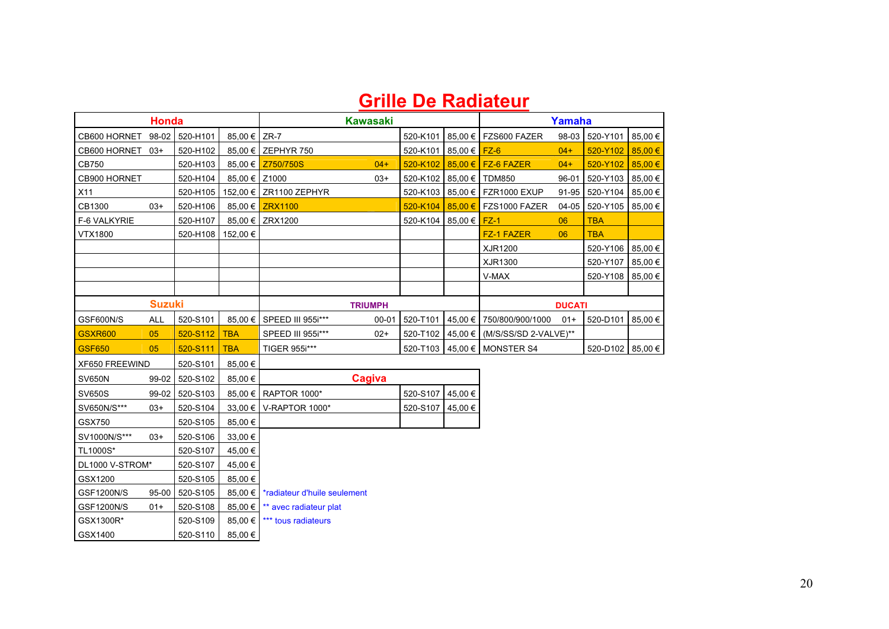### **Grille De Radiateur**

|                   | <b>Honda</b>  |                |               |                                          | <b>Kawasaki</b> |          |                           |                               | Yamaha        |                    |             |
|-------------------|---------------|----------------|---------------|------------------------------------------|-----------------|----------|---------------------------|-------------------------------|---------------|--------------------|-------------|
| CB600 HORNET      | 98-02         | 520-H101       | 85.00 € ZR-7  |                                          |                 | 520-K101 |                           | 85,00 € FZS600 FAZER          | 98-03         | 520-Y101           | 85,00 €     |
| CB600 HORNET 03+  |               | 520-H102       |               | 85,00 € ZEPHYR 750                       |                 | 520-K101 | 85,00 € <mark>FZ-6</mark> |                               | $04 +$        | 520-Y102           | $85,00 \in$ |
| CB750             |               | 520-H103       |               | 85,00 € Z750/750S                        | $04+$           | 520-K102 |                           | $85,00 \in$ FZ-6 FAZER        | $04+$         | 520-Y102           | 85,00€      |
| CB900 HORNET      |               | 520-H104       | 85,00 € Z1000 |                                          | $03+$           | 520-K102 |                           | 85,00 € TDM850                | 96-01         | 520-Y103           | 85,00 €     |
| X11               |               | 520-H105       |               | 152,00 € ZR1100 ZEPHYR                   |                 | 520-K103 |                           | 85,00 € FZR1000 EXUP          | 91-95         | 520-Y104           | 85,00 €     |
| CB1300            | $03+$         | 520-H106       | $85.00 \in$   | <b>ZRX1100</b>                           |                 | 520-K104 |                           | $85,00 \in$ FZS1000 FAZER     | $04 - 05$     | 520-Y105           | 85,00 €     |
| F-6 VALKYRIE      |               | 520-H107       |               | 85,00 € ZRX1200                          |                 | 520-K104 | $85,00 \in$               | $FZ-1$                        | 06            | <b>TBA</b>         |             |
| VTX1800           |               | 520-H108       | 152,00 €      |                                          |                 |          |                           | <b>FZ-1 FAZER</b>             | 06            | <b>TBA</b>         |             |
|                   |               |                |               |                                          |                 |          |                           | XJR1200                       |               | 520-Y106           | 85,00 €     |
|                   |               |                |               |                                          |                 |          |                           | XJR1300                       |               | 520-Y107           | 85,00 €     |
|                   |               |                |               |                                          |                 |          |                           | V-MAX                         |               | 520-Y108           | 85,00 €     |
|                   |               |                |               |                                          |                 |          |                           |                               |               |                    |             |
|                   | <b>Suzuki</b> |                |               |                                          | <b>TRIUMPH</b>  |          |                           |                               | <b>DUCATI</b> |                    |             |
| GSF600N/S         | ALL           | 520-S101       | $85.00 \in I$ | SPEED III 955i***                        | $00 - 01$       | 520-T101 |                           | 45,00 € 750/800/900/1000      | $01+$         | 520-D101           | 85,00 €     |
| <b>GSXR600</b>    | 05            | 520-S112       | <b>TBA</b>    | SPEED III 955i***                        | $02+$           | 520-T102 |                           | 45,00 € (M/S/SS/SD 2-VALVE)** |               |                    |             |
| <b>GSF650</b>     | 05            | 520-S111       | <b>TBA</b>    | TIGER 955i***                            |                 | 520-T103 |                           | $45,00 \in$ MONSTER S4        |               | 520-D102   85,00 € |             |
| XF650 FREEWIND    |               | 520-S101       | 85,00 €       |                                          |                 |          |                           |                               |               |                    |             |
| <b>SV650N</b>     |               | 99-02 520-S102 | 85.00 €       |                                          | <b>Cagiva</b>   |          |                           |                               |               |                    |             |
| <b>SV650S</b>     |               | 99-02 520-S103 |               | 85,00 € RAPTOR 1000*                     |                 | 520-S107 | 45,00€                    |                               |               |                    |             |
| SV650N/S***       | $03+$         | 520-S104       | $33.00 \in I$ | V-RAPTOR 1000*                           |                 | 520-S107 | 45.00€                    |                               |               |                    |             |
| GSX750            |               | 520-S105       | 85,00€        |                                          |                 |          |                           |                               |               |                    |             |
| SV1000N/S***      | $03+$         | 520-S106       | 33,00 €       |                                          |                 |          |                           |                               |               |                    |             |
| TL1000S*          |               | 520-S107       | 45,00€        |                                          |                 |          |                           |                               |               |                    |             |
| DL1000 V-STROM*   |               | 520-S107       | 45,00 €       |                                          |                 |          |                           |                               |               |                    |             |
| GSX1200           |               | 520-S105       | 85,00€        |                                          |                 |          |                           |                               |               |                    |             |
| GSF1200N/S        | $95-00$       | 520-S105       |               | 85,00 €   *radiateur d'huile seulement   |                 |          |                           |                               |               |                    |             |
| <b>GSF1200N/S</b> | $01+$         | 520-S108       | 85,00 €       | ** avec radiateur plat                   |                 |          |                           |                               |               |                    |             |
| GSX1300R*         |               | 520-S109       |               | 85.00 € $\mathsf{I}$ *** tous radiateurs |                 |          |                           |                               |               |                    |             |
| GSX1400           |               | 520-S110       | 85,00 €       |                                          |                 |          |                           |                               |               |                    |             |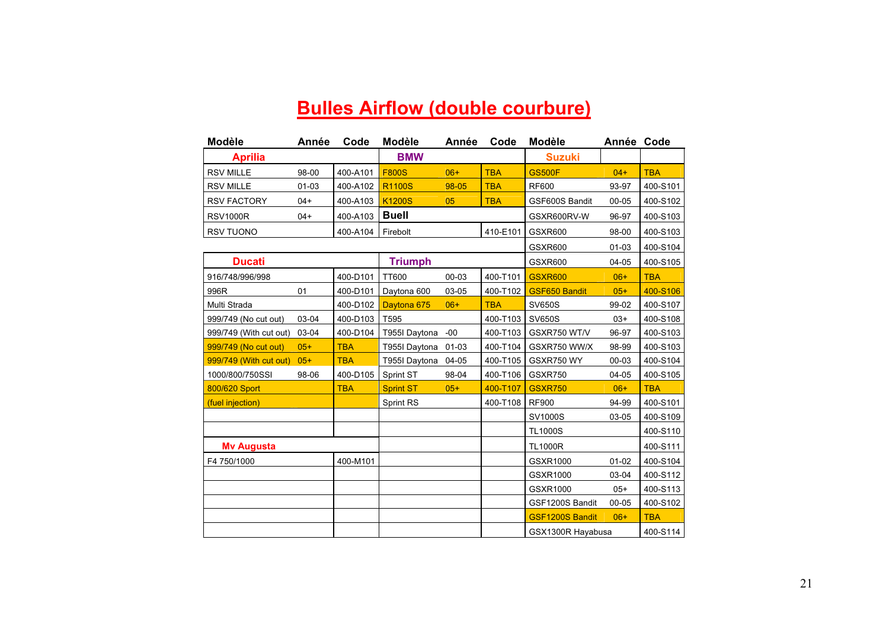# **Bulles Airflow (double courbure)**

| <b>Modèle</b>          | Année     | Code       | <b>Modèle</b>    | Année     | Code       | <b>Modèle</b>          | Année Code |            |
|------------------------|-----------|------------|------------------|-----------|------------|------------------------|------------|------------|
| <b>Aprilia</b>         |           |            | <b>BMW</b>       |           |            | <b>Suzuki</b>          |            |            |
| <b>RSV MILLE</b>       | 98-00     | 400-A101   | <b>F800S</b>     | $06+$     | <b>TBA</b> | <b>GS500F</b>          | $04+$      | <b>TBA</b> |
| <b>RSV MILLE</b>       | $01 - 03$ | 400-A102   | <b>R1100S</b>    | 98-05     | <b>TBA</b> | <b>RF600</b>           | 93-97      | 400-S101   |
| <b>RSV FACTORY</b>     | $04+$     | 400-A103   | <b>K1200S</b>    | 05        | <b>TBA</b> | GSF600S Bandit         | $00 - 05$  | 400-S102   |
| <b>RSV1000R</b>        | $04+$     | 400-A103   | <b>Buell</b>     |           |            | GSXR600RV-W            | 96-97      | 400-S103   |
| <b>RSV TUONO</b>       |           | 400-A104   | Firebolt         |           | 410-E101   | GSXR600                | 98-00      | 400-S103   |
|                        |           |            |                  |           |            | GSXR600                | $01 - 03$  | 400-S104   |
| <b>Ducati</b>          |           |            | <b>Triumph</b>   |           |            | GSXR600                | 04-05      | 400-S105   |
| 916/748/996/998        |           | 400-D101   | <b>TT600</b>     | 00-03     | 400-T101   | <b>GSXR600</b>         | $06+$      | <b>TBA</b> |
| 996R                   | 01        | 400-D101   | Daytona 600      | 03-05     | 400-T102   | <b>GSF650 Bandit</b>   | $05+$      | 400-S106   |
| Multi Strada           |           | 400-D102   | Daytona 675      | $06+$     | <b>TBA</b> | <b>SV650S</b>          | 99-02      | 400-S107   |
| 999/749 (No cut out)   | 03-04     | 400-D103   | T595             |           | 400-T103   | <b>SV650S</b>          | $03+$      | 400-S108   |
| 999/749 (With cut out) | 03-04     | 400-D104   | T955I Daytona    | $-00$     | 400-T103   | GSXR750 WT/V           | 96-97      | 400-S103   |
| 999/749 (No cut out)   | $05+$     | <b>TBA</b> | T955I Daytona    | $01 - 03$ | 400-T104   | GSXR750 WW/X           | 98-99      | 400-S103   |
| 999/749 (With cut out) | $05+$     | <b>TBA</b> | T955I Daytona    | 04-05     | 400-T105   | GSXR750 WY             | 00-03      | 400-S104   |
| 1000/800/750SSI        | 98-06     | 400-D105   | Sprint ST        | 98-04     | 400-T106   | GSXR750                | 04-05      | 400-S105   |
| 800/620 Sport          |           | <b>TBA</b> | <b>Sprint ST</b> | $05+$     | 400-T107   | <b>GSXR750</b>         | $06+$      | <b>TBA</b> |
| (fuel injection)       |           |            | Sprint RS        |           | 400-T108   | <b>RF900</b>           | 94-99      | 400-S101   |
|                        |           |            |                  |           |            | SV1000S                | 03-05      | 400-S109   |
|                        |           |            |                  |           |            | <b>TL1000S</b>         |            | 400-S110   |
| <b>My Augusta</b>      |           |            |                  |           |            | <b>TL1000R</b>         |            | 400-S111   |
| F4 750/1000            |           | 400-M101   |                  |           |            | GSXR1000               | $01 - 02$  | 400-S104   |
|                        |           |            |                  |           |            | GSXR1000               | 03-04      | 400-S112   |
|                        |           |            |                  |           |            | GSXR1000               | $05+$      | 400-S113   |
|                        |           |            |                  |           |            | GSF1200S Bandit        | $00 - 05$  | 400-S102   |
|                        |           |            |                  |           |            | <b>GSF1200S Bandit</b> | $06+$      | <b>TBA</b> |
|                        |           |            |                  |           |            | GSX1300R Hayabusa      |            | 400-S114   |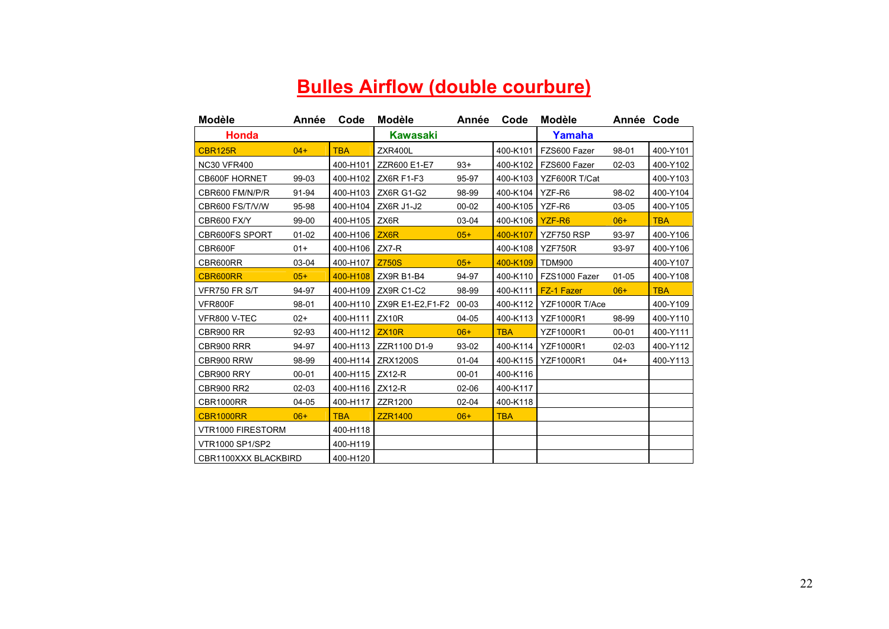# **Bulles Airflow (double courbure)**

| <b>Modèle</b>         | Année     | Code              | <b>Modèle</b>     | Année     | Code       | Modèle           | Année Code |            |
|-----------------------|-----------|-------------------|-------------------|-----------|------------|------------------|------------|------------|
| <b>Honda</b>          |           |                   | Kawasaki          |           |            | Yamaha           |            |            |
| <b>CBR125R</b>        | $04+$     | <b>TBA</b>        | ZXR400L           |           | 400-K101   | FZS600 Fazer     | 98-01      | 400-Y101   |
| <b>NC30 VFR400</b>    |           | 400-H101          | ZZR600 E1-E7      | $93+$     | 400-K102   | FZS600 Fazer     | 02-03      | 400-Y102   |
| <b>CB600F HORNET</b>  | 99-03     | 400-H102          | ZX6R F1-F3        | 95-97     | 400-K103   | YZF600R T/Cat    |            | 400-Y103   |
| CBR600 FM/N/P/R       | 91-94     | 400-H103          | <b>ZX6R G1-G2</b> | 98-99     | 400-K104   | YZF-R6           | 98-02      | 400-Y104   |
| CBR600 FS/T/V/W       | 95-98     | 400-H104          | ZX6R J1-J2        | 00-02     | 400-K105   | YZF-R6           | 03-05      | 400-Y105   |
| CBR600 FX/Y           | 99-00     | 400-H105          | ZX6R              | 03-04     | 400-K106   | YZF-R6           | $06+$      | <b>TBA</b> |
| <b>CBR600FS SPORT</b> | $01-02$   | 400-H106          | ZX <sub>6</sub> R | $05+$     | 400-K107   | YZF750 RSP       | 93-97      | 400-Y106   |
| CBR600F               | $01+$     | 400-H106          | ZX7-R             |           | 400-K108   | YZF750R          | 93-97      | 400-Y106   |
| CBR600RR              | 03-04     | 400-H107          | <b>Z750S</b>      | $05+$     | 400-K109   | <b>TDM900</b>    |            | 400-Y107   |
| CBR600RR              | $05+$     | 400-H108          | ZX9R B1-B4        | 94-97     | 400-K110   | FZS1000 Fazer    | $01 - 05$  | 400-Y108   |
| VFR750 FR S/T         | 94-97     | 400-H109          | ZX9R C1-C2        | 98-99     | 400-K111   | FZ-1 Fazer       | $06+$      | <b>TBA</b> |
| VFR800F               | 98-01     | 400-H110          | ZX9R E1-E2, F1-F2 | 00-03     | 400-K112   | YZF1000R T/Ace   |            | 400-Y109   |
| VFR800 V-TEC          | $02+$     | 400-H111          | ZX10R             | 04-05     | 400-K113   | <b>YZF1000R1</b> | 98-99      | 400-Y110   |
| <b>CBR900 RR</b>      | 92-93     | 400-H112          | <b>ZX10R</b>      | $06+$     | <b>TBA</b> | <b>YZF1000R1</b> | $00 - 01$  | 400-Y111   |
| CBR900 RRR            | 94-97     | 400-H113          | ZZR1100 D1-9      | 93-02     | 400-K114   | <b>YZF1000R1</b> | $02 - 03$  | 400-Y112   |
| CBR900 RRW            | 98-99     | 400-H114          | <b>ZRX1200S</b>   | $01 - 04$ | 400-K115   | <b>YZF1000R1</b> | $04+$      | 400-Y113   |
| CBR900 RRY            | $00 - 01$ | 400-H115          | $ZX12-R$          | $00 - 01$ | 400-K116   |                  |            |            |
| <b>CBR900 RR2</b>     | 02-03     | 400-H116   ZX12-R |                   | 02-06     | 400-K117   |                  |            |            |
| <b>CBR1000RR</b>      | 04-05     | 400-H117          | ZZR1200           | $02 - 04$ | 400-K118   |                  |            |            |
| CBR1000RR             | $06+$     | <b>TBA</b>        | <b>ZZR1400</b>    | $06+$     | <b>TBA</b> |                  |            |            |
| VTR1000 FIRESTORM     |           | 400-H118          |                   |           |            |                  |            |            |
| VTR1000 SP1/SP2       |           | 400-H119          |                   |           |            |                  |            |            |
| CBR1100XXX BLACKBIRD  |           | 400-H120          |                   |           |            |                  |            |            |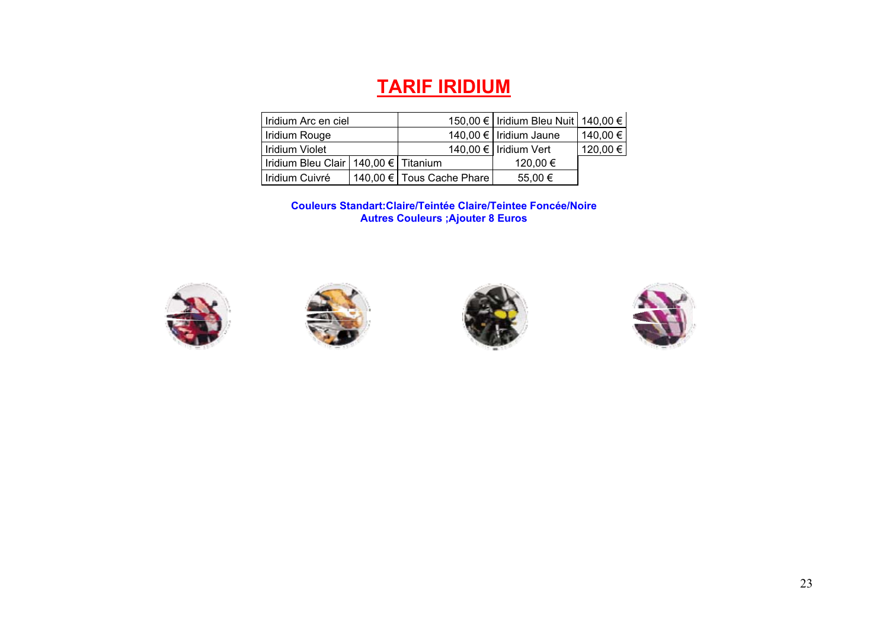### **TARIF IRIDIUM**

| Iridium Arc en ciel                      |  |                           | 150,00 €   Iridium Bleu Nuit   140,00 € |          |
|------------------------------------------|--|---------------------------|-----------------------------------------|----------|
| Iridium Rouge                            |  |                           | 140,00 €   Iridium Jaune                | 140,00 € |
| Iridium Violet                           |  |                           | 140,00 € Iridium Vert                   | 120,00 € |
| Iridium Bleu Clair   140,00 €   Titanium |  |                           | 120,00 €                                |          |
| Iridium Cuivré                           |  | 140.00 € Tous Cache Phare | 55,00 €                                 |          |

**Couleurs Standart:Claire/Teintée Claire/Teintee Foncée/Noire Autres Couleurs ;Ajouter 8 Euros** 







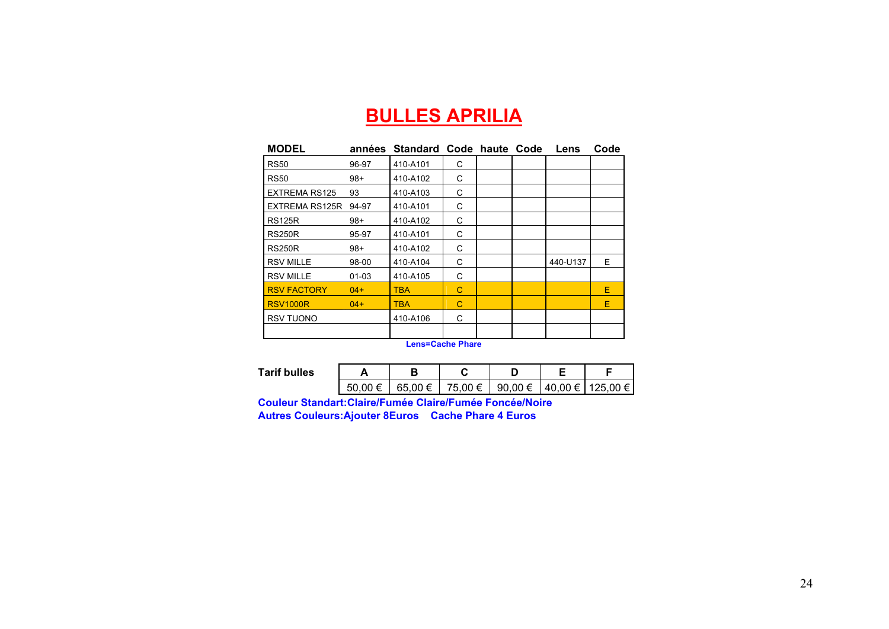### **BULLES APRILIA**

| <b>MODEL</b>         |           | années Standard Code haute Code |   |  | Lens     | Code |
|----------------------|-----------|---------------------------------|---|--|----------|------|
| <b>RS50</b>          | 96-97     | 410-A101                        | С |  |          |      |
| <b>RS50</b>          | $98+$     | 410-A102                        | C |  |          |      |
| <b>EXTREMA RS125</b> | 93        | 410-A103                        | C |  |          |      |
| EXTREMA RS125R       | 94-97     | 410-A101                        | С |  |          |      |
| <b>RS125R</b>        | $98+$     | 410-A102                        | C |  |          |      |
| <b>RS250R</b>        | 95-97     | 410-A101                        | C |  |          |      |
| <b>RS250R</b>        | 98+       | 410-A102                        | С |  |          |      |
| <b>RSV MILLE</b>     | 98-00     | 410-A104                        | C |  | 440-U137 | Е.   |
| <b>RSV MILLE</b>     | $01 - 03$ | 410-A105                        | C |  |          |      |
| <b>RSV FACTORY</b>   | $04+$     | <b>TBA</b>                      | С |  |          | E    |
| <b>RSV1000R</b>      | $04+$     | <b>TBA</b>                      | C |  |          | E    |
| <b>RSV TUONO</b>     |           | 410-A106                        | C |  |          |      |
|                      |           |                                 |   |  |          |      |

**Lens=Cache Phare** 

| Tarif bulles |    |         |         |         |                  |
|--------------|----|---------|---------|---------|------------------|
|              | 50 | 65.00 € | 75,00 € | 90,00 € | 40,00 € 125,00 € |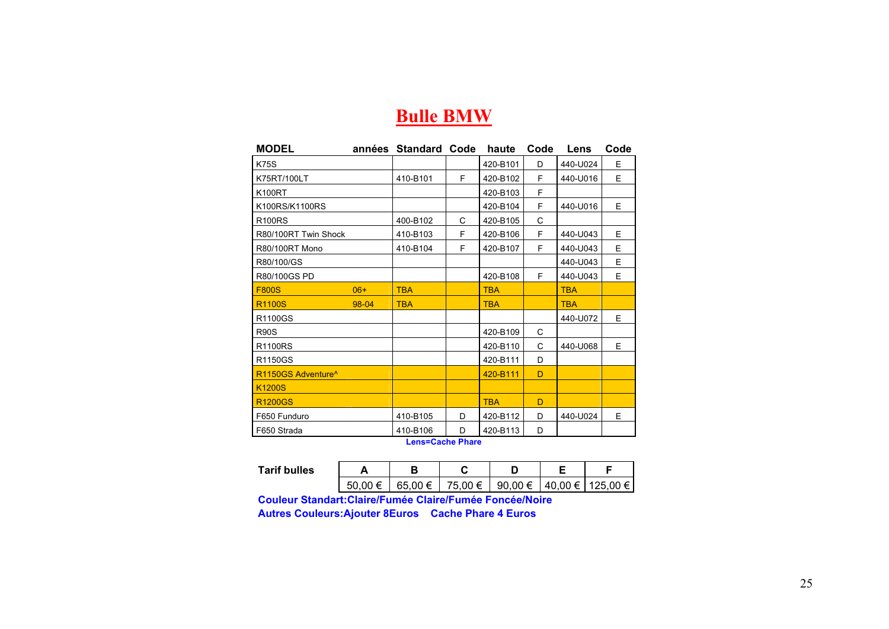#### **Bulle BMW**

| <b>MODEL</b>                   | années | <b>Standard Code</b> |    | haute      | Code | Lens       | Code |
|--------------------------------|--------|----------------------|----|------------|------|------------|------|
| <b>K75S</b>                    |        |                      |    | 420-B101   | D    | 440-U024   | E    |
| K75RT/100LT                    |        | 410-B101             | F  | 420-B102   | F    | 440-U016   | E    |
| K100RT                         |        |                      |    | 420-B103   | F    |            |      |
| K100RS/K1100RS                 |        |                      |    | 420-B104   | F    | 440-U016   | E.   |
| <b>R100RS</b>                  |        | 400-B102             | C  | 420-B105   | C    |            |      |
| R80/100RT Twin Shock           |        | 410-B103             | F  | 420-B106   | F    | 440-U043   | E    |
| <b>R80/100RT Mono</b>          |        | 410-B104             | F  | 420-B107   | F    | 440-U043   | E    |
| R80/100/GS                     |        |                      |    |            |      | 440-U043   | E    |
| R80/100GS PD                   |        |                      |    | 420-B108   | F    | 440-U043   | E    |
| <b>F800S</b>                   | $06+$  | <b>TBA</b>           |    | <b>TBA</b> |      | <b>TBA</b> |      |
| <b>R1100S</b>                  | 98-04  | <b>TBA</b>           |    | <b>TBA</b> |      | <b>TBA</b> |      |
| R1100GS                        |        |                      |    |            |      | 440-U072   | E.   |
| <b>R90S</b>                    |        |                      |    | 420-B109   | C    |            |      |
| R1100RS                        |        |                      |    | 420-B110   | C    | 440-U068   | E    |
| R1150GS                        |        |                      |    | 420-B111   | D    |            |      |
| R1150GS Adventure <sup>^</sup> |        |                      |    | 420-B111   | D    |            |      |
| <b>K1200S</b>                  |        |                      |    |            |      |            |      |
| <b>R1200GS</b>                 |        |                      |    | <b>TBA</b> | D    |            |      |
| F650 Funduro                   |        | 410-B105             | D  | 420-B112   | D    | 440-U024   | E    |
| F650 Strada                    |        | 410-B106             | D. | 420-B113   | D    |            |      |

**Lens=Cache Phare** 

| Tarif bulles |          |         |         |                  |                    |  |
|--------------|----------|---------|---------|------------------|--------------------|--|
|              | 50<br>÷. | 65.00 € | 75,00 € | 90,00 $\epsilon$ | 40,00 €   125,00 € |  |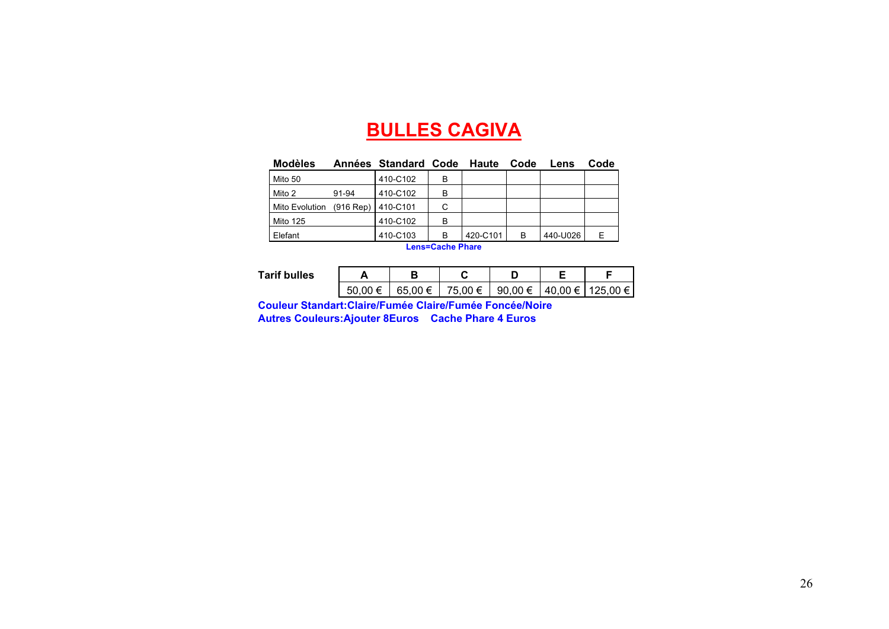### **BULLES CAGIVA**

| Modèles        |             | Années Standard Code Haute |                                                                                              |          | Code | Lens     | Code |
|----------------|-------------|----------------------------|----------------------------------------------------------------------------------------------|----------|------|----------|------|
| l Mito 50      |             | 410-C102                   | в                                                                                            |          |      |          |      |
| Mito 2         | 91-94       | 410-C102                   | в                                                                                            |          |      |          |      |
| Mito Evolution | $(916$ Rep) | I410-C101                  | C                                                                                            |          |      |          |      |
| l Mito 125     |             | 410-C102                   | в                                                                                            |          |      |          |      |
| <b>Elefant</b> |             | 410-C103                   | в                                                                                            | 420-C101 | в    | 440-U026 |      |
|                |             |                            | $\mathbf{A}$ . The set of $\mathbf{A}$ is the set of $\mathbf{B}$ is the set of $\mathbf{A}$ |          |      |          |      |

**Lens=Cache Phare** 

 **Tarif bull** 

| les |  |                                                                |  |
|-----|--|----------------------------------------------------------------|--|
|     |  | $50,00 \in$   65,00 €   75,00 €   90,00 €   40,00 €   125,00 € |  |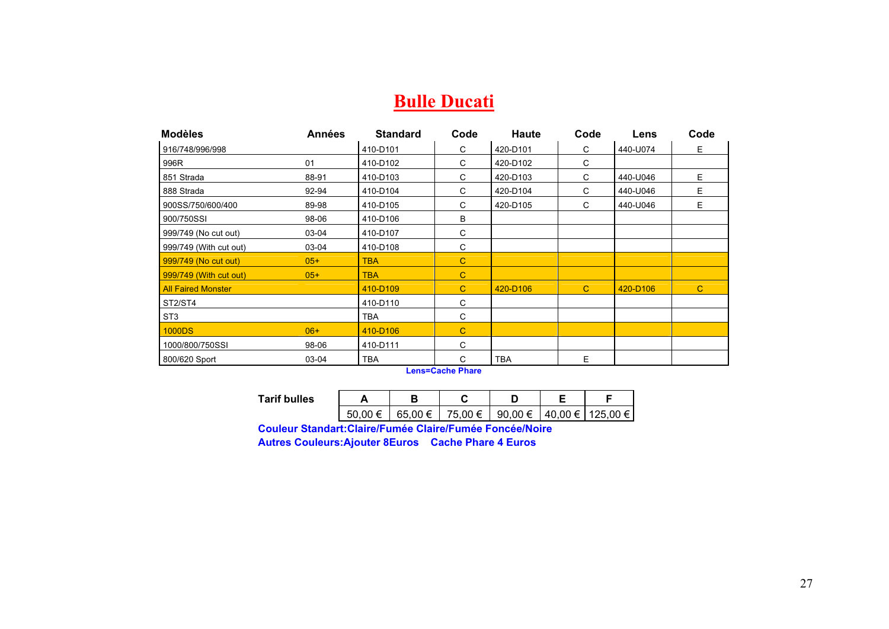### **Bulle Ducati**

| <b>Modèles</b>            | <b>Années</b> | <b>Standard</b> | Code         | <b>Haute</b> | Code         | Lens     | Code         |
|---------------------------|---------------|-----------------|--------------|--------------|--------------|----------|--------------|
| 916/748/996/998           |               | 410-D101        | C            | 420-D101     | С            | 440-U074 | Е            |
| 996R                      | 01            | 410-D102        | C            | 420-D102     | С            |          |              |
| 851 Strada                | 88-91         | 410-D103        | C            | 420-D103     | C            | 440-U046 | E.           |
| 888 Strada                | 92-94         | 410-D104        | C            | 420-D104     | С            | 440-U046 | E.           |
| 900SS/750/600/400         | 89-98         | 410-D105        | C            | 420-D105     | C            | 440-U046 | E.           |
| 900/750SSI                | 98-06         | 410-D106        | B            |              |              |          |              |
| 999/749 (No cut out)      | 03-04         | 410-D107        | C            |              |              |          |              |
| 999/749 (With cut out)    | 03-04         | 410-D108        | С            |              |              |          |              |
| 999/749 (No cut out)      | $05+$         | <b>TBA</b>      | $\mathbf C$  |              |              |          |              |
| 999/749 (With cut out)    | $05+$         | <b>TBA</b>      | $\mathbf{C}$ |              |              |          |              |
| <b>All Faired Monster</b> |               | 410-D109        | $\mathbf{C}$ | 420-D106     | $\mathbf{C}$ | 420-D106 | $\mathbf{C}$ |
| ST2/ST4                   |               | 410-D110        | C            |              |              |          |              |
| ST <sub>3</sub>           |               | <b>TBA</b>      | C            |              |              |          |              |
| <b>1000DS</b>             | $06+$         | 410-D106        | C            |              |              |          |              |
| 1000/800/750SSI           | 98-06         | 410-D111        | С            |              |              |          |              |
| 800/620 Sport             | 03-04         | <b>TBA</b>      | C            | <b>TBA</b>   | E            |          |              |

**Lens=Cache Phare** 

| <b>Tarif bulles</b> |             | o       | . .     |         |  |                    |
|---------------------|-------------|---------|---------|---------|--|--------------------|
|                     | 50.00<br>±. | 65.00 € | 75,00 € | 90,00 € |  | 40,00 €   125,00 € |

**Couleur Standart:Claire/Fumée Claire/Fumée Foncée/Noire** 

**Autres Couleurs:Ajouter 8Euros Cache Phare 4 Euros**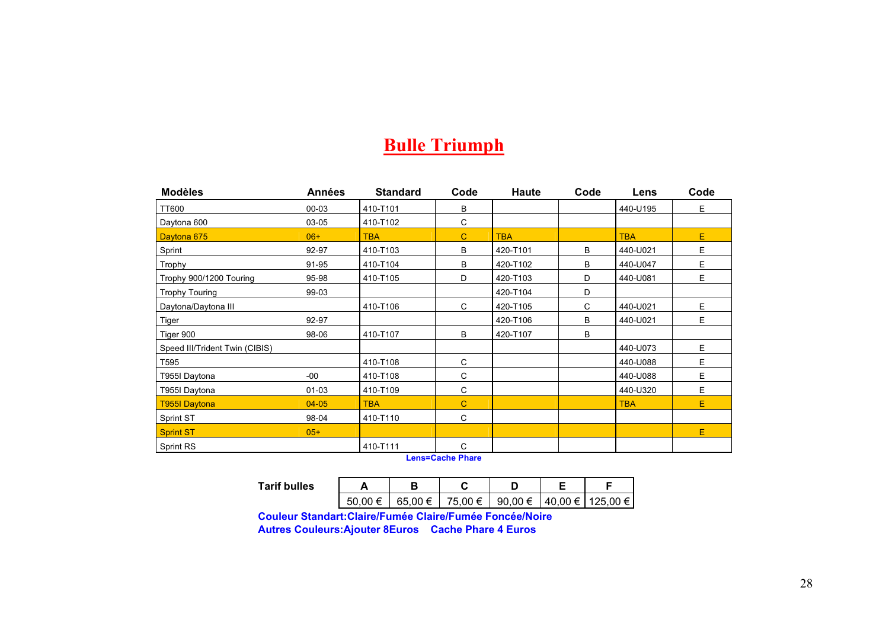### **Bulle Triumph**

| <b>Modèles</b>                 | <b>Années</b> | <b>Standard</b> | Code         | Haute      | Code | Lens       | Code |
|--------------------------------|---------------|-----------------|--------------|------------|------|------------|------|
| TT600                          | 00-03         | 410-T101        | B            |            |      | 440-U195   | E.   |
| Daytona 600                    | 03-05         | 410-T102        | C            |            |      |            |      |
| Daytona 675                    | $06+$         | <b>TBA</b>      | $\mathbf{C}$ | <b>TBA</b> |      | <b>TBA</b> | E.   |
| Sprint                         | 92-97         | 410-T103        | B            | 420-T101   | B    | 440-U021   | E.   |
| Trophy                         | 91-95         | 410-T104        | B            | 420-T102   | B    | 440-U047   | E.   |
| Trophy 900/1200 Touring        | 95-98         | 410-T105        | D            | 420-T103   | D    | 440-U081   | E.   |
| <b>Trophy Touring</b>          | 99-03         |                 |              | 420-T104   | D    |            |      |
| Daytona/Daytona III            |               | 410-T106        | C            | 420-T105   | C    | 440-U021   | E.   |
| Tiger                          | 92-97         |                 |              | 420-T106   | B    | 440-U021   | E.   |
| Tiger 900                      | 98-06         | 410-T107        | B            | 420-T107   | В    |            |      |
| Speed III/Trident Twin (CIBIS) |               |                 |              |            |      | 440-U073   | E.   |
| T595                           |               | 410-T108        | C            |            |      | 440-U088   | E.   |
| T955I Daytona                  | $-00$         | 410-T108        | C            |            |      | 440-U088   | E.   |
| T955I Daytona                  | 01-03         | 410-T109        | C            |            |      | 440-U320   | E.   |
| <b>T955I Daytona</b>           | $04 - 05$     | <b>TBA</b>      | $\mathbf C$  |            |      | <b>TBA</b> | E.   |
| Sprint ST                      | 98-04         | 410-T110        | C            |            |      |            |      |
| <b>Sprint ST</b>               | $05+$         |                 |              |            |      |            | E    |
| <b>Sprint RS</b>               |               | 410-T111        | C            |            |      |            |      |

**Lens=Cache Phare** 

| Tarif bulles |         |         |         |                              |  |
|--------------|---------|---------|---------|------------------------------|--|
|              | 50.00 € | 65.00 € | 75,00 € | 90.00 €   40.00 €   125.00 € |  |

**Couleur Standart:Claire/Fumée Claire/Fumée Foncée/Noire** 

**Autres Couleurs:Ajouter 8Euros Cache Phare 4 Euros**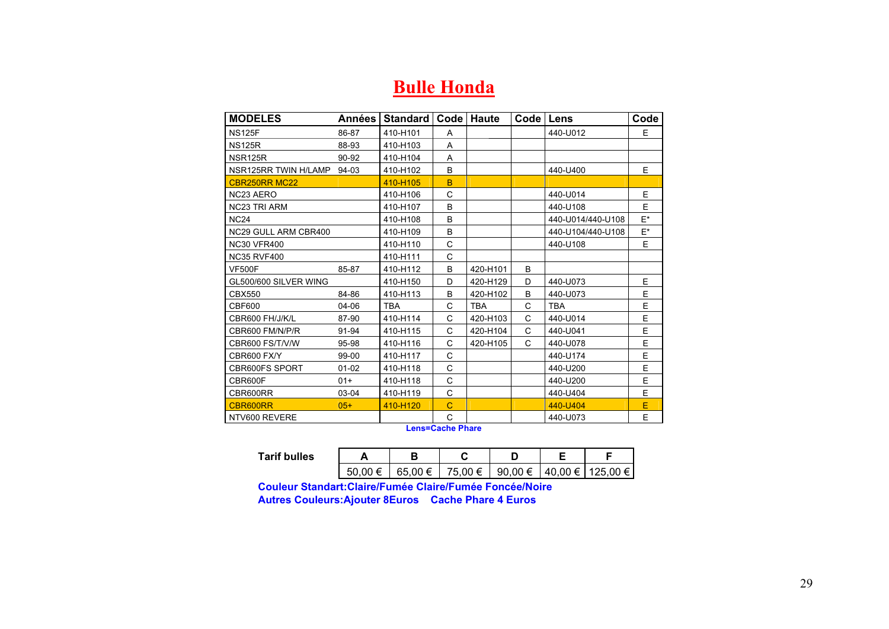### **Bulle Honda**

| <b>MODELES</b>             | Années    | Standard   | Code l      | Haute      | Code   Lens |                   | Code  |
|----------------------------|-----------|------------|-------------|------------|-------------|-------------------|-------|
| <b>NS125F</b>              | 86-87     | 410-H101   | A           |            |             | 440-U012          | E     |
| <b>NS125R</b>              | 88-93     | 410-H103   | A           |            |             |                   |       |
| NSR125R                    | 90-92     | 410-H104   | A           |            |             |                   |       |
| NSR125RR TWIN H/LAMP 94-03 |           | 410-H102   | B           |            |             | 440-U400          | E     |
| CBR250RR MC22              |           | 410-H105   | B           |            |             |                   |       |
| NC23 AERO                  |           | 410-H106   | C           |            |             | 440-U014          | E     |
| <b>NC23 TRI ARM</b>        |           | 410-H107   | B           |            |             | 440-U108          | E.    |
| <b>NC24</b>                |           | 410-H108   | B           |            |             | 440-U014/440-U108 | $E^*$ |
| NC29 GULL ARM CBR400       |           | 410-H109   | B           |            |             | 440-U104/440-U108 | $E^*$ |
| <b>NC30 VFR400</b>         |           | 410-H110   | C           |            |             | 440-U108          | E.    |
| <b>NC35 RVF400</b>         |           | 410-H111   | C           |            |             |                   |       |
| <b>VF500F</b>              | 85-87     | 410-H112   | B           | 420-H101   | B           |                   |       |
| GL500/600 SILVER WING      |           | 410-H150   | D           | 420-H129   | D           | 440-U073          | E     |
| <b>CBX550</b>              | 84-86     | 410-H113   | B           | 420-H102   | B           | 440-U073          | E     |
| CBF600                     | 04-06     | <b>TBA</b> | C           | <b>TBA</b> | C           | <b>TBA</b>        | E     |
| CBR600 FH/J/K/L            | 87-90     | 410-H114   | C           | 420-H103   | C           | 440-U014          | E     |
| CBR600 FM/N/P/R            | 91-94     | 410-H115   | C           | 420-H104   | C           | 440-U041          | E     |
| CBR600 FS/T/V/W            | 95-98     | 410-H116   | C           | 420-H105   | C           | 440-U078          | E     |
| <b>CBR600 FX/Y</b>         | 99-00     | 410-H117   | C           |            |             | 440-U174          | E     |
| <b>CBR600FS SPORT</b>      | $01 - 02$ | 410-H118   | C           |            |             | 440-U200          | E     |
| CBR600F                    | $01+$     | 410-H118   | C           |            |             | 440-U200          | E     |
| CBR600RR                   | 03-04     | 410-H119   | C           |            |             | 440-U404          | E     |
| CBR600RR                   | $05+$     | 410-H120   | $\mathbf C$ |            |             | 440-U404          | E     |
| NTV600 REVERE              |           |            | С           |            |             | 440-U073          | E     |

**Lens=Cache Phare** 

| Tarif bulles |         |         |         |         |                      |  |
|--------------|---------|---------|---------|---------|----------------------|--|
|              | 50.00 € | 65.00 € | 75,00 € | 90,00 € | ∣ 40,00 €   125,00 € |  |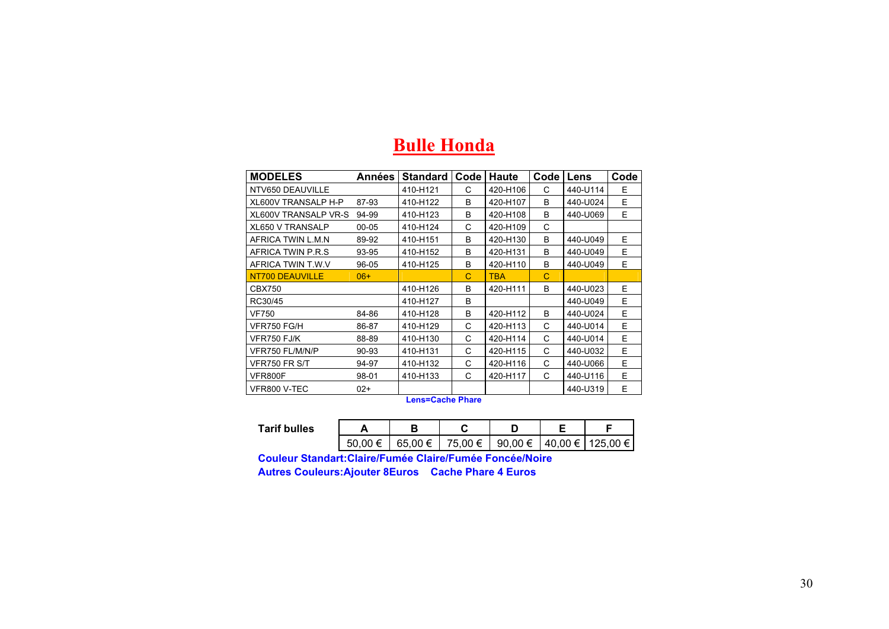| <b>MODELES</b>              | Années    | Standard | Code | <b>Haute</b> | Code | Lens     | Code |
|-----------------------------|-----------|----------|------|--------------|------|----------|------|
| NTV650 DEAUVILLE            |           | 410-H121 | C    | 420-H106     | C    | 440-U114 | E    |
| XL600V TRANSALP H-P         | 87-93     | 410-H122 | B    | 420-H107     | B    | 440-U024 | Е    |
| <b>XL600V TRANSALP VR-S</b> | 94-99     | 410-H123 | B    | 420-H108     | В    | 440-U069 | E    |
| <b>XL650 V TRANSALP</b>     | $00 - 05$ | 410-H124 | C    | 420-H109     | C    |          |      |
| AFRICA TWIN L.M.N           | 89-92     | 410-H151 | B    | 420-H130     | B    | 440-U049 | E.   |
| AFRICA TWIN P.R.S           | 93-95     | 410-H152 | B    | 420-H131     | B    | 440-U049 | E.   |
| AFRICA TWIN T.W.V           | 96-05     | 410-H125 | B    | 420-H110     | B    | 440-U049 | E.   |
| NT700 DEAUVILLE             | $06+$     |          | C    | <b>TBA</b>   | C    |          |      |
| <b>CBX750</b>               |           | 410-H126 | B    | 420-H111     | B    | 440-U023 | E    |
| RC30/45                     |           | 410-H127 | B    |              |      | 440-U049 | E    |
| <b>VF750</b>                | 84-86     | 410-H128 | B    | 420-H112     | B    | 440-U024 | E    |
| VFR750 FG/H                 | 86-87     | 410-H129 | C    | 420-H113     | C    | 440-U014 | E    |
| VFR750 FJ/K                 | 88-89     | 410-H130 | C    | 420-H114     | C    | 440-U014 | E    |
| VFR750 FL/M/N/P             | 90-93     | 410-H131 | C    | 420-H115     | C    | 440-U032 | E.   |
| VFR750 FR S/T               | 94-97     | 410-H132 | C    | 420-H116     | C    | 440-U066 | E.   |
| VFR800F                     | 98-01     | 410-H133 | C    | 420-H117     | C    | 440-U116 | E.   |
| VFR800 V-TEC                | $02+$     |          |      |              |      | 440-U319 | E    |

#### **Bulle Honda**

**Lens=Cache Phare** 

| Tarif bulles |                 |         |         |                  |                  |
|--------------|-----------------|---------|---------|------------------|------------------|
|              | 50<br>00<br>≔ ו | 65.00 € | 75,00 € | 90,00 $\epsilon$ | 40,00 € 125,00 € |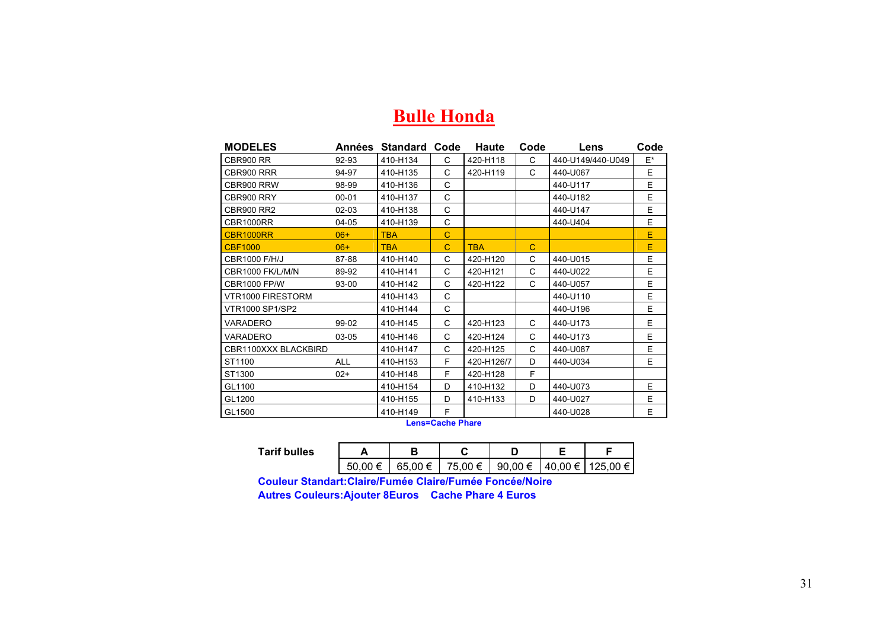#### **Bulle Honda**

| <b>MODELES</b>          | Années     | <b>Standard Code</b> |             | Haute      | Code | Lens              | Code |
|-------------------------|------------|----------------------|-------------|------------|------|-------------------|------|
| CBR900 RR               | 92-93      | 410-H134             | C.          | 420-H118   | C    | 440-U149/440-U049 | E*   |
| CBR900 RRR              | 94-97      | 410-H135             | C           | 420-H119   | C    | 440-U067          | E    |
| CBR900 RRW              | 98-99      | 410-H136             | C           |            |      | 440-U117          | E    |
| CBR900 RRY              | $00 - 01$  | 410-H137             | C           |            |      | 440-U182          | E    |
| <b>CBR900 RR2</b>       | $02 - 03$  | 410-H138             | C           |            |      | 440-U147          | E    |
| CBR1000RR               | $04-05$    | 410-H139             | C           |            |      | 440-U404          | E    |
| <b>CBR1000RR</b>        | $06+$      | <b>TBA</b>           | $\mathbf C$ |            |      |                   | E    |
| <b>CBF1000</b>          | $06+$      | <b>TBA</b>           | $\mathbf C$ | <b>TBA</b> | C    |                   | E    |
| <b>CBR1000 F/H/J</b>    | 87-88      | 410-H140             | C           | 420-H120   | C    | 440-U015          | Ε    |
| <b>CBR1000 FK/L/M/N</b> | 89-92      | 410-H141             | C           | 420-H121   | C    | 440-U022          | E    |
| <b>CBR1000 FP/W</b>     | 93-00      | 410-H142             | C           | 420-H122   | C    | 440-U057          | E    |
| VTR1000 FIRESTORM       |            | 410-H143             | C           |            |      | 440-U110          | E    |
| <b>VTR1000 SP1/SP2</b>  |            | 410-H144             | C           |            |      | 440-U196          | E    |
| VARADERO                | 99-02      | 410-H145             | C           | 420-H123   | C    | 440-U173          | E    |
| VARADERO                | 03-05      | 410-H146             | C           | 420-H124   | C    | 440-U173          | E    |
| CBR1100XXX BLACKBIRD    |            | 410-H147             | C           | 420-H125   | C    | 440-U087          | E    |
| ST1100                  | <b>ALL</b> | 410-H153             | F           | 420-H126/7 | D    | 440-U034          | E    |
| ST1300                  | $02+$      | 410-H148             | F           | 420-H128   | F    |                   |      |
| GL1100                  |            | 410-H154             | D           | 410-H132   | D    | 440-U073          | E    |
| GL1200                  |            | 410-H155             | D           | 410-H133   | D    | 440-U027          | Ε    |
| GL1500                  |            | 410-H149             | F           |            |      | 440-U028          | E    |

**Lens=Cache Phare** 

| <b>Tarif bulles</b> |         |         |         |             |                    |
|---------------------|---------|---------|---------|-------------|--------------------|
|                     | 50.00 € | 65.00 € | 75,00 € | 90,00 $\in$ | 40,00 €   125,00 € |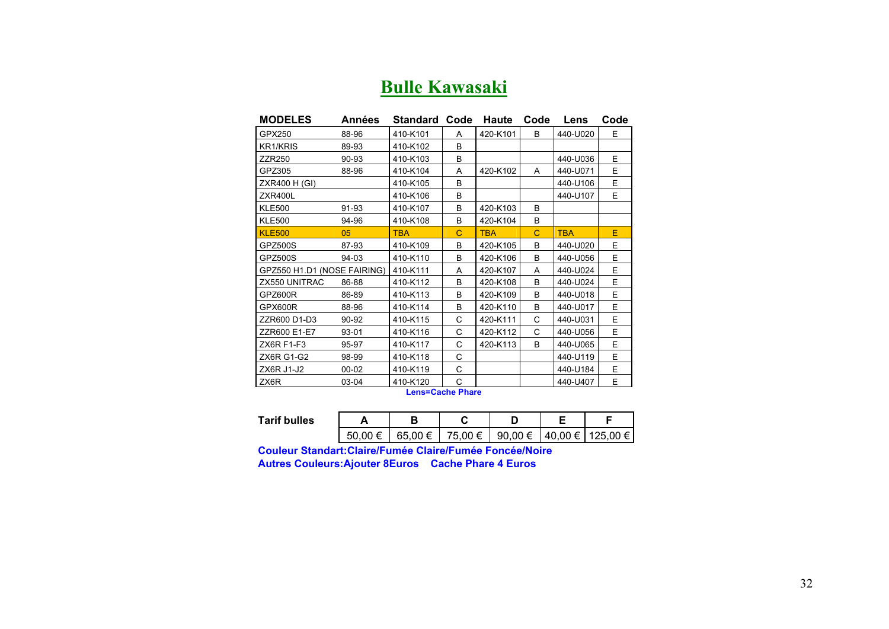|  | <b>Bulle Kawasaki</b> |  |
|--|-----------------------|--|
|  |                       |  |

| <b>MODELES</b>              | Années    | Standard                                    | Code | <b>Haute</b> | Code | Lens       | Code |
|-----------------------------|-----------|---------------------------------------------|------|--------------|------|------------|------|
| GPX250                      | 88-96     | 410-K101                                    | A    | 420-K101     | B    | 440-U020   | E.   |
| KR1/KRIS                    | 89-93     | 410-K102                                    | B    |              |      |            |      |
| <b>ZZR250</b>               | 90-93     | 410-K103                                    | B    |              |      | 440-U036   | E    |
| GPZ305                      | 88-96     | 410-K104                                    | A    | 420-K102     | A    | 440-U071   | E    |
| ZXR400 H (GI)               |           | 410-K105                                    | B    |              |      | 440-U106   | E    |
| ZXR400L                     |           | 410-K106                                    | B    |              |      | 440-U107   | E    |
| <b>KLE500</b>               | 91-93     | 410-K107                                    | B    | 420-K103     | B    |            |      |
| <b>KLE500</b>               | 94-96     | 410-K108                                    | B    | 420-K104     | B    |            |      |
| <b>KLE500</b>               | 05        | <b>TBA</b>                                  | C    | <b>TBA</b>   | C    | <b>TBA</b> | E    |
| <b>GPZ500S</b>              | 87-93     | 410-K109                                    | B    | 420-K105     | B    | 440-U020   | E    |
| GPZ500S                     | 94-03     | 410-K110                                    | B    | 420-K106     | B    | 440-U056   | E    |
| GPZ550 H1.D1 (NOSE FAIRING) |           | 410-K111                                    | A    | 420-K107     | A    | 440-U024   | E    |
| ZX550 UNITRAC               | 86-88     | 410-K112                                    | B    | 420-K108     | B    | 440-U024   | E    |
| GPZ600R                     | 86-89     | 410-K113                                    | B    | 420-K109     | В    | 440-U018   | E    |
| GPX600R                     | 88-96     | 410-K114                                    | B    | 420-K110     | B    | 440-U017   | E    |
| ZZR600 D1-D3                | 90-92     | 410-K115                                    | C    | 420-K111     | C    | 440-U031   | E    |
| ZZR600 E1-E7                | 93-01     | 410-K116                                    | C    | 420-K112     | C    | 440-U056   | E    |
| <b>ZX6R F1-F3</b>           | 95-97     | 410-K117                                    | C    | 420-K113     | B    | 440-U065   | E    |
| ZX6R G1-G2                  | 98-99     | 410-K118                                    | C    |              |      | 440-U119   | E    |
| ZX6R J1-J2                  | $00 - 02$ | 410-K119                                    | C    |              |      | 440-U184   | E    |
| ZX6R                        | 03-04     | 410-K120<br><b>The Second Control Print</b> | C    |              |      | 440-U407   | E    |

**Lens=Cache Phare** 

| Tarif bulles |     |         |         |                  |                    |
|--------------|-----|---------|---------|------------------|--------------------|
|              | ⊨ ۱ | 65,00 € | 75,00 € | 90,00 $\epsilon$ | 40.00 €   125.00 € |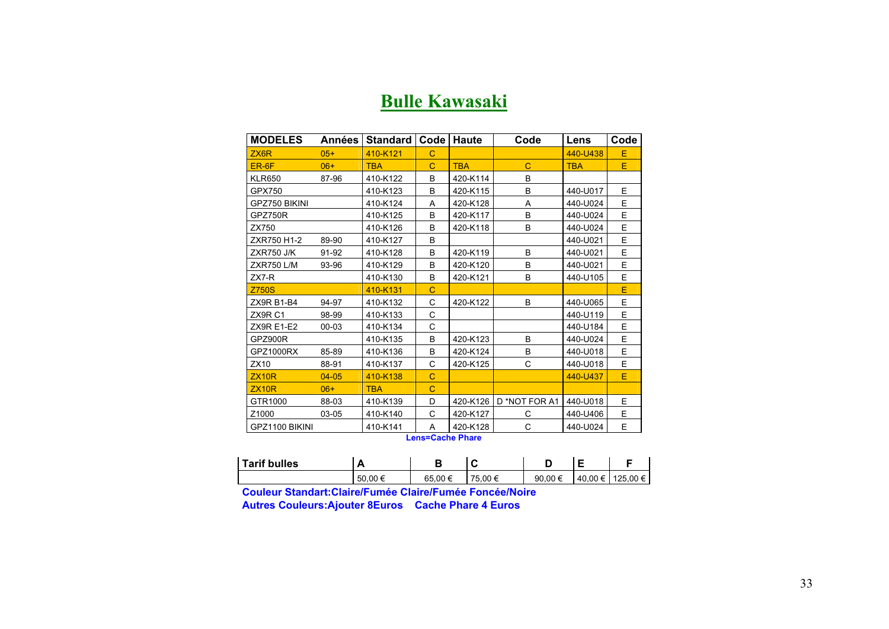#### **Bulle Kawasaki**

| <b>MODELES</b>     | Années    | Standard   | Code | Haute      | Code          | Lens       | Code |
|--------------------|-----------|------------|------|------------|---------------|------------|------|
| ZX <sub>6</sub> R  | $05+$     | 410-K121   | C    |            |               | 440-U438   | Е    |
| ER-6F              | $06+$     | <b>TBA</b> | C    | <b>TBA</b> | $\mathbf C$   | <b>TBA</b> | E    |
| <b>KLR650</b>      | 87-96     | 410-K122   | B    | 420-K114   | B             |            |      |
| GPX750             |           | 410-K123   | B    | 420-K115   | B             | 440-U017   | E    |
| GPZ750 BIKINI      |           | 410-K124   | A    | 420-K128   | A             | 440-U024   | E.   |
| GPZ750R            |           | 410-K125   | B    | 420-K117   | B             | 440-U024   | E    |
| ZX750              |           | 410-K126   | B    | 420-K118   | B             | 440-U024   | E.   |
| ZXR750 H1-2        | 89-90     | 410-K127   | B    |            |               | 440-U021   | E    |
| <b>ZXR750 J/K</b>  | 91-92     | 410-K128   | B    | 420-K119   | B             | 440-U021   | E.   |
| <b>ZXR750 L/M</b>  | 93-96     | 410-K129   | B    | 420-K120   | B             | 440-U021   | E    |
| $ZX7-R$            |           | 410-K130   | B    | 420-K121   | B             | 440-U105   | E    |
| <b>Z750S</b>       |           | 410-K131   | C    |            |               |            | Ē    |
| ZX9R B1-B4         | 94-97     | 410-K132   | C    | 420-K122   | B             | 440-U065   | E    |
| ZX9R <sub>C1</sub> | 98-99     | 410-K133   | C    |            |               | 440-U119   | E    |
| <b>ZX9R E1-E2</b>  | $00 - 03$ | 410-K134   | C    |            |               | 440-U184   | E    |
| GPZ900R            |           | 410-K135   | B    | 420-K123   | B             | 440-U024   | E    |
| GPZ1000RX          | 85-89     | 410-K136   | B    | 420-K124   | B             | 440-U018   | E.   |
| ZX10               | 88-91     | 410-K137   | С    | 420-K125   | C             | 440-U018   | E    |
| ZX10R              | $04 - 05$ | 410-K138   | C    |            |               | 440-U437   | E    |
| ZX10R              | $06+$     | <b>TBA</b> | C    |            |               |            |      |
| GTR1000            | 88-03     | 410-K139   | D    | 420-K126   | D *NOT FOR A1 | 440-U018   | E.   |
| Z <sub>1000</sub>  | 03-05     | 410-K140   | C    | 420-K127   | C             | 440-U406   | E    |
| GPZ1100 BIKINI     |           | 410-K141   | A    | 420-K128   | C             | 440-U024   | E.   |

**Lens=Cache Phare** 

| Tarif bulles |         |        | v             | . .        |         |          |
|--------------|---------|--------|---------------|------------|---------|----------|
|              | 50.00 € | 65.00€ | 75<br>75.00 € | 90.00<br>€ | 40.00 € | 125.00 € |

**Couleur Standart:Claire/Fumée Claire/Fumée Foncée/Noire** 

**Autres Couleurs:Ajouter 8Euros Cache Phare 4 Euros**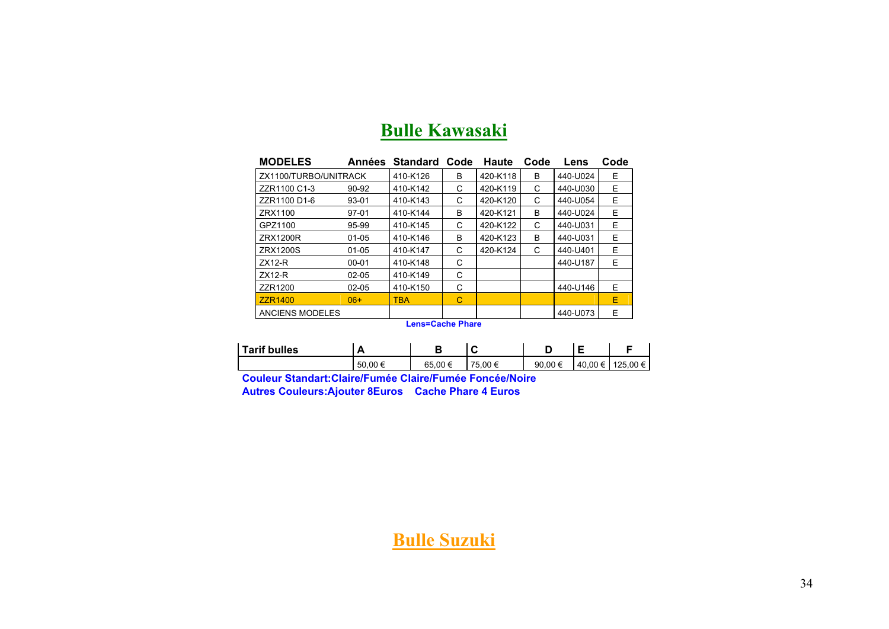| <b>MODELES</b>         | Années    | <b>Standard</b> | Code | <b>Haute</b> | Code | Lens     | Code |
|------------------------|-----------|-----------------|------|--------------|------|----------|------|
| ZX1100/TURBO/UNITRACK  |           | 410-K126        | B    | 420-K118     | B    | 440-U024 | Е    |
| ZZR1100 C1-3           | 90-92     | 410-K142        | C    | 420-K119     | C    | 440-U030 | E.   |
| ZZR1100 D1-6           | 93-01     | 410-K143        | C    | 420-K120     | C    | 440-U054 | Е    |
| ZRX1100                | $97-01$   | 410-K144        | B    | 420-K121     | B    | 440-U024 | E    |
| GPZ1100                | 95-99     | 410-K145        | С    | 420-K122     | C    | 440-U031 | E    |
| ZRX1200R               | $01 - 05$ | 410-K146        | B    | 420-K123     | B    | 440-U031 | E    |
| <b>ZRX1200S</b>        | $01 - 05$ | 410-K147        | C    | 420-K124     | C    | 440-U401 | F    |
| $ZX12-R$               | $00 - 01$ | 410-K148        | C    |              |      | 440-U187 | F    |
| $ZX12-R$               | $02 - 05$ | 410-K149        | C    |              |      |          |      |
| ZZR1200                | $02 - 05$ | 410-K150        | C    |              |      | 440-U146 | E    |
| <b>ZZR1400</b>         | $06+$     | <b>TBA</b>      | С    |              |      |          | F    |
| <b>ANCIENS MODELES</b> |           |                 |      |              |      | 440-U073 | Е    |

### **Bulle Kawasaki**

**Lens=Cache Phare** 

| Tarif bulles | n       |        | ◡             |             |                         |          |
|--------------|---------|--------|---------------|-------------|-------------------------|----------|
|              | 50.00 € | 65.00€ | 75<br>′5.00 € | 90.00 $\in$ | $.40.00 \in \mathsf{′}$ | 125.00 € |

**Couleur Standart:Claire/Fumée Claire/Fumée Foncée/Noire Autres Couleurs:Ajouter 8Euros Cache Phare 4 Euros**

#### **Bulle Suzuki**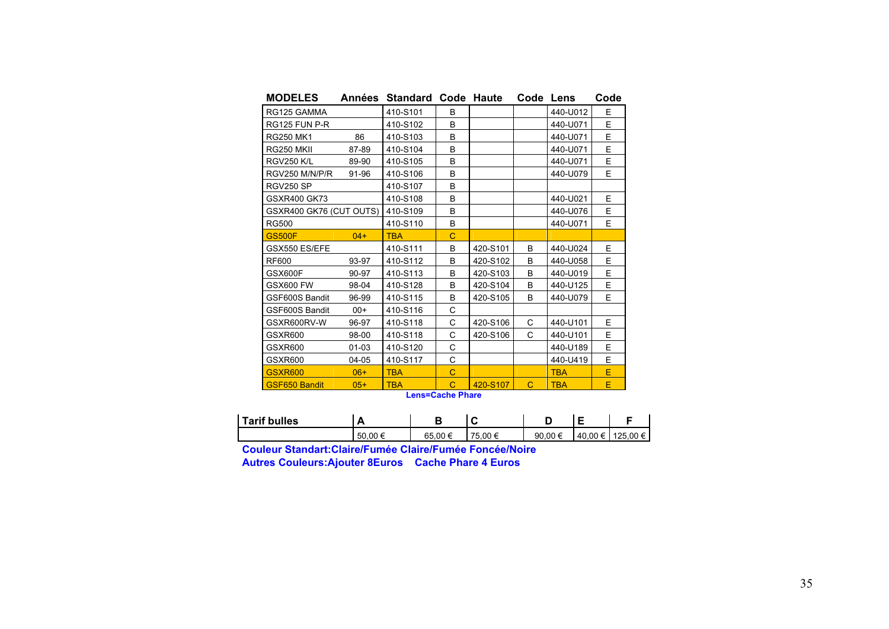| <b>MODELES</b>          | Années | Standard   |                | Code Haute | Code | Lens       | Code |
|-------------------------|--------|------------|----------------|------------|------|------------|------|
| RG125 GAMMA             |        | 410-S101   | B              |            |      | 440-U012   | E    |
| RG125 FUN P-R           |        | 410-S102   | B              |            |      | 440-U071   | E    |
| <b>RG250 MK1</b>        | 86     | 410-S103   | B              |            |      | 440-U071   | E    |
| RG250 MKII              | 87-89  | 410-S104   | B              |            |      | 440-U071   | E    |
| <b>RGV250 K/L</b>       | 89-90  | 410-S105   | B              |            |      | 440-U071   | E    |
| RGV250 M/N/P/R          | 91-96  | 410-S106   | B              |            |      | 440-U079   | F    |
| RGV250 SP               |        | 410-S107   | B              |            |      |            |      |
| <b>GSXR400 GK73</b>     |        | 410-S108   | B              |            |      | 440-U021   | E    |
| GSXR400 GK76 (CUT OUTS) |        | 410-S109   | B              |            |      | 440-U076   | E    |
| <b>RG500</b>            |        | 410-S110   | B              |            |      | 440-U071   | E    |
| <b>GS500F</b>           | $04+$  | <b>TBA</b> | C              |            |      |            |      |
| GSX550 ES/EFE           |        | 410-S111   | B              | 420-S101   | B    | 440-U024   | E    |
| RF600                   | 93-97  | 410-S112   | B              | 420-S102   | B    | 440-U058   | E    |
| GSX600F                 | 90-97  | 410-S113   | B              | 420-S103   | B    | 440-U019   | E    |
| <b>GSX600 FW</b>        | 98-04  | 410-S128   | B              | 420-S104   | B    | 440-U125   | E    |
| GSF600S Bandit          | 96-99  | 410-S115   | B              | 420-S105   | B    | 440-U079   | E    |
| GSF600S Bandit          | $00+$  | 410-S116   | C              |            |      |            |      |
| GSXR600RV-W             | 96-97  | 410-S118   | C              | 420-S106   | C    | 440-U101   | E    |
| <b>GSXR600</b>          | 98-00  | 410-S118   | C              | 420-S106   | C    | 440-U101   | E    |
| GSXR600                 | 01-03  | 410-S120   | C              |            |      | 440-U189   | E    |
| GSXR600                 | 04-05  | 410-S117   | C              |            |      | 440-U419   | E    |
| <b>GSXR600</b>          | $06+$  | <b>TBA</b> | $\overline{C}$ |            |      | <b>TBA</b> | E.   |
| <b>GSF650 Bandit</b>    | $05+$  | <b>TBA</b> | C<br>- 1       | 420-S107   | C    | <b>TBA</b> | Е    |

| <b>Lens=Cache Phare</b> |  |
|-------------------------|--|
|-------------------------|--|

| <b>Tarif bulles</b> | ⇁      |        |            |        |         |          |
|---------------------|--------|--------|------------|--------|---------|----------|
|                     | 50.00€ | 65.00€ | 00 €<br>75 | 90.00€ | 40.00 € | 125.00 € |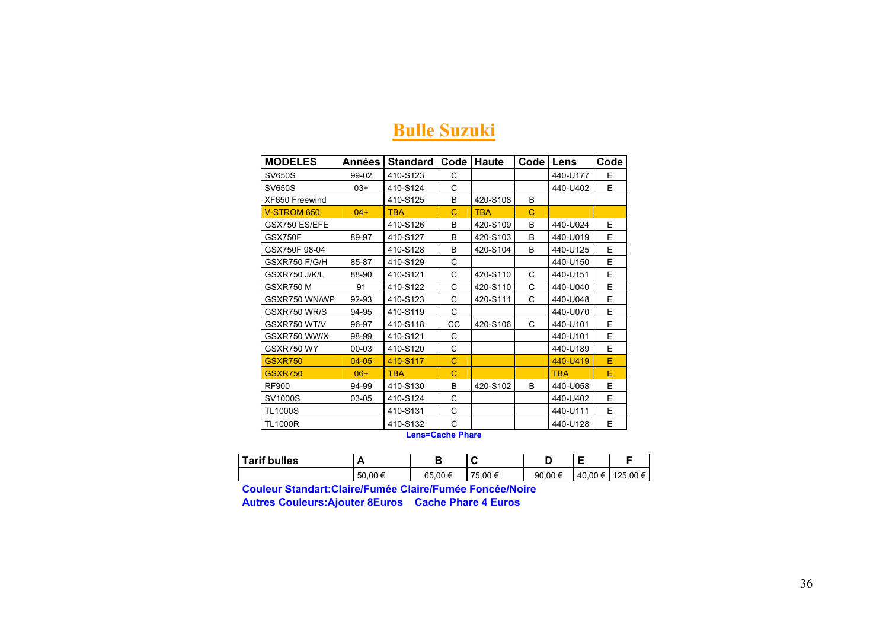| <b>MODELES</b>     | Années    | <b>Standard</b> | Code | <b>Haute</b> | Code | Lens       | Code |
|--------------------|-----------|-----------------|------|--------------|------|------------|------|
| <b>SV650S</b>      | 99-02     | 410-S123        | С    |              |      | 440-U177   | Е    |
| SV650S             | $03+$     | 410-S124        | C    |              |      | 440-U402   | E.   |
| XF650 Freewind     |           | 410-S125        | B    | 420-S108     | B    |            |      |
| <b>V-STROM 650</b> | $04+$     | <b>TBA</b>      | C    | <b>TBA</b>   | C    |            |      |
| GSX750 ES/EFE      |           | 410-S126        | B    | 420-S109     | B    | 440-U024   | E    |
| GSX750F            | 89-97     | 410-S127        | B    | 420-S103     | B    | 440-U019   | E.   |
| GSX750F 98-04      |           | 410-S128        | B    | 420-S104     | B    | 440-U125   | E    |
| GSXR750 F/G/H      | 85-87     | 410-S129        | С    |              |      | 440-U150   | E    |
| GSXR750 J/K/L      | 88-90     | 410-S121        | C    | 420-S110     | C    | 440-U151   | E    |
| GSXR750 M          | 91        | 410-S122        | C    | 420-S110     | C    | 440-U040   | E    |
| GSXR750 WN/WP      | 92-93     | 410-S123        | C    | 420-S111     | C    | 440-U048   | E    |
| GSXR750 WR/S       | 94-95     | 410-S119        | C    |              |      | 440-U070   | E    |
| GSXR750 WT/V       | 96-97     | 410-S118        | CC   | 420-S106     | C    | 440-U101   | E    |
| GSXR750 WW/X       | 98-99     | 410-S121        | C    |              |      | 440-U101   | E    |
| GSXR750 WY         | 00-03     | 410-S120        | C    |              |      | 440-U189   | E    |
| <b>GSXR750</b>     | $04 - 05$ | 410-S117        | C    |              |      | 440-U419   | E    |
| <b>GSXR750</b>     | $06+$     | <b>TBA</b>      | C    |              |      | <b>TBA</b> | Е    |
| <b>RF900</b>       | 94-99     | 410-S130        | B    | 420-S102     | B    | 440-U058   | E    |
| SV1000S            | 03-05     | 410-S124        | C    |              |      | 440-U402   | E    |
| <b>TL1000S</b>     |           | 410-S131        | С    |              |      | 440-U111   | E    |
| <b>TL1000R</b>     |           | 410-S132        | C    |              |      | 440-U128   | E    |

#### **Bulle Suzuki**

**Lens=Cache Phare** 

| <b>Tarif bulles</b> | r      |         | ◡       |             |         |          |
|---------------------|--------|---------|---------|-------------|---------|----------|
|                     | 50.00€ | 65.00 € | 75.00 € | 90.00 $\in$ | 40.00 € | 125.00 € |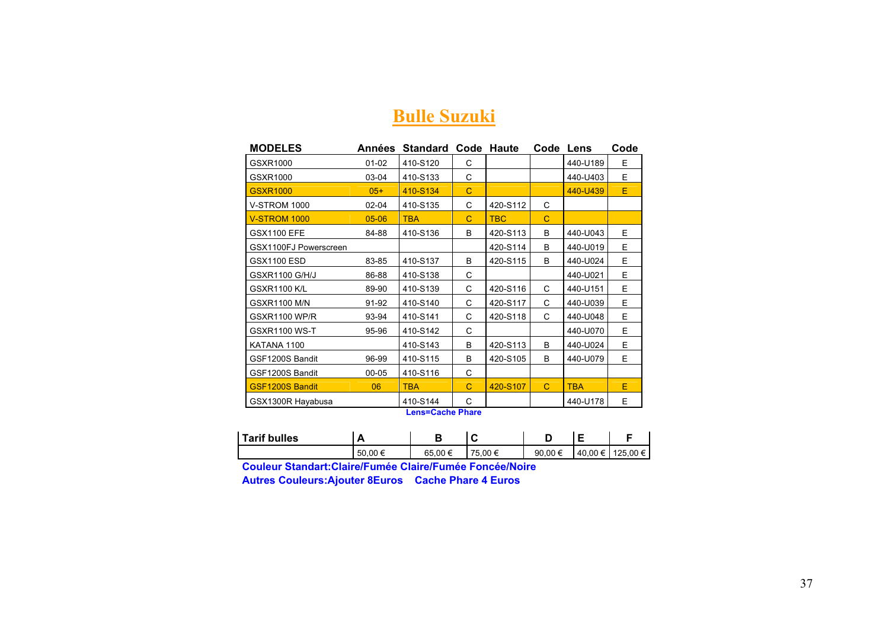#### **Bulle Suzuki**

| <b>MODELES</b>         | Années    | <b>Standard Code Haute</b>              |   |            | Code        | Lens       | Code |
|------------------------|-----------|-----------------------------------------|---|------------|-------------|------------|------|
| GSXR1000               | $01 - 02$ | 410-S120                                | C |            |             | 440-U189   | F    |
| GSXR1000               | 03-04     | 410-S133                                | C |            |             | 440-U403   | E.   |
| <b>GSXR1000</b>        | $05+$     | 410-S134                                | C |            |             | 440-U439   | E    |
| <b>V-STROM 1000</b>    | 02-04     | 410-S135                                | C | 420-S112   | C           |            |      |
| <b>V-STROM 1000</b>    | $05 - 06$ | <b>TBA</b>                              | C | <b>TBC</b> | $\mathbf C$ |            |      |
| <b>GSX1100 EFE</b>     | 84-88     | 410-S136                                | B | 420-S113   | B           | 440-U043   | E.   |
| GSX1100FJ Powerscreen  |           |                                         |   | 420-S114   | B           | 440-U019   | E    |
| <b>GSX1100 ESD</b>     | 83-85     | 410-S137                                | B | 420-S115   | B           | 440-U024   | E    |
| <b>GSXR1100 G/H/J</b>  | 86-88     | 410-S138                                | C |            |             | 440-U021   | E    |
| <b>GSXR1100 K/L</b>    | 89-90     | 410-S139                                | C | 420-S116   | C           | 440-U151   | E    |
| <b>GSXR1100 M/N</b>    | 91-92     | 410-S140                                | С | 420-S117   | C           | 440-U039   | E.   |
| <b>GSXR1100 WP/R</b>   | 93-94     | 410-S141                                | C | 420-S118   | C           | 440-U048   | E.   |
| <b>GSXR1100 WS-T</b>   | 95-96     | 410-S142                                | C |            |             | 440-U070   | E.   |
| KATANA 1100            |           | 410-S143                                | B | 420-S113   | B           | 440-U024   | E.   |
| GSF1200S Bandit        | 96-99     | 410-S115                                | B | 420-S105   | B           | 440-U079   | E.   |
| GSF1200S Bandit        | 00-05     | 410-S116                                | C |            |             |            |      |
| <b>GSF1200S Bandit</b> | 06        | <b>TBA</b>                              | C | 420-S107   | $\mathbf C$ | <b>TBA</b> | E    |
| GSX1300R Hayabusa      |           | 410-S144<br><b>Laws-Ossier District</b> | С |            |             | 440-U178   | E.   |

**Lens=Cache Phare** 

| <b>Tarif bulles</b> | . .      |                 | ⊾       |             |            |          |
|---------------------|----------|-----------------|---------|-------------|------------|----------|
|                     | .50.00 f | $.00 \in$<br>65 | 75.00 € | 90.00 $\in$ | €<br>40.00 | 125.00 € |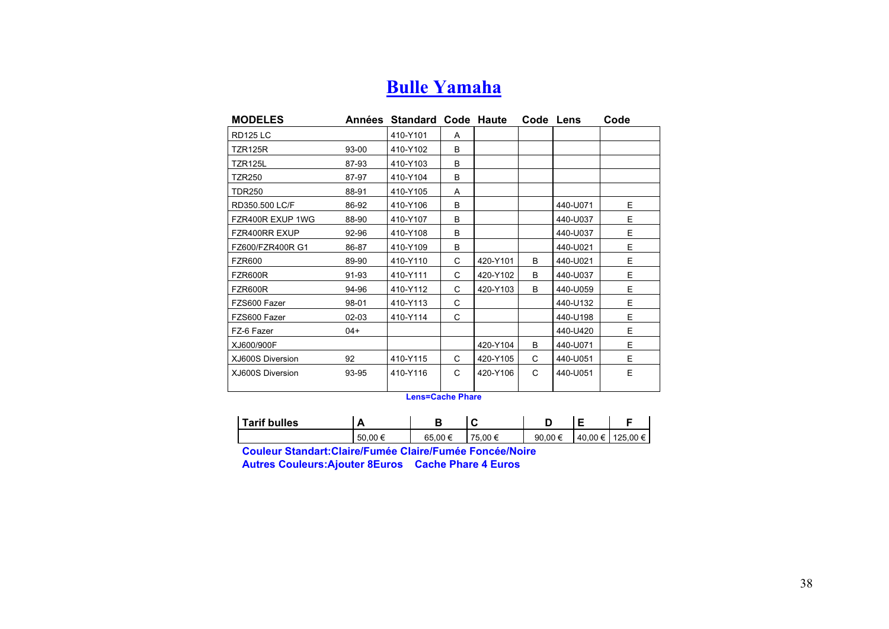### **Bulle Yamaha**

| <b>MODELES</b>   |           | Années Standard Code Haute |   |          | Code Lens    |          | Code |
|------------------|-----------|----------------------------|---|----------|--------------|----------|------|
| <b>RD125 LC</b>  |           | 410-Y101                   | A |          |              |          |      |
| TZR125R          | 93-00     | 410-Y102                   | B |          |              |          |      |
| <b>TZR125L</b>   | 87-93     | 410-Y103                   | B |          |              |          |      |
| TZR250           | 87-97     | 410-Y104                   | B |          |              |          |      |
| <b>TDR250</b>    | 88-91     | 410-Y105                   | A |          |              |          |      |
| RD350.500 LC/F   | 86-92     | 410-Y106                   | B |          |              | 440-U071 | Е    |
| FZR400R EXUP 1WG | 88-90     | 410-Y107                   | B |          |              | 440-U037 | E.   |
| FZR400RR EXUP    | 92-96     | 410-Y108                   | B |          |              | 440-U037 | E.   |
| FZ600/FZR400R G1 | 86-87     | 410-Y109                   | B |          |              | 440-U021 | E.   |
| <b>FZR600</b>    | 89-90     | 410-Y110                   | C | 420-Y101 | <sub>R</sub> | 440-U021 | E.   |
| FZR600R          | 91-93     | 410-Y111                   | С | 420-Y102 | <sub>R</sub> | 440-U037 | E.   |
| FZR600R          | 94-96     | 410-Y112                   | C | 420-Y103 | <sub>R</sub> | 440-U059 | E.   |
| FZS600 Fazer     | 98-01     | 410-Y113                   | C |          |              | 440-U132 | E.   |
| FZS600 Fazer     | $02 - 03$ | 410-Y114                   | C |          |              | 440-U198 | E.   |
| FZ-6 Fazer       | $04+$     |                            |   |          |              | 440-U420 | E.   |
| XJ600/900F       |           |                            |   | 420-Y104 | B            | 440-U071 | E.   |
| XJ600S Diversion | 92        | 410-Y115                   | C | 420-Y105 | C            | 440-U051 | E.   |
| XJ600S Diversion | 93-95     | 410-Y116                   | C | 420-Y106 | C            | 440-U051 | E.   |
|                  |           |                            |   |          |              |          |      |

**Lens=Cache Phare** 

| <b>Tarif bulles</b> | r      |        | ີ               |        |         |          |
|---------------------|--------|--------|-----------------|--------|---------|----------|
|                     | 50.00€ | 65.00€ | 75<br>$.00 \in$ | 90.00€ | 40.00 € | 125.00 € |

**Couleur Standart:Claire/Fumée Claire/Fumée Foncée/Noire** 

**Autres Couleurs:Ajouter 8Euros Cache Phare 4 Euros**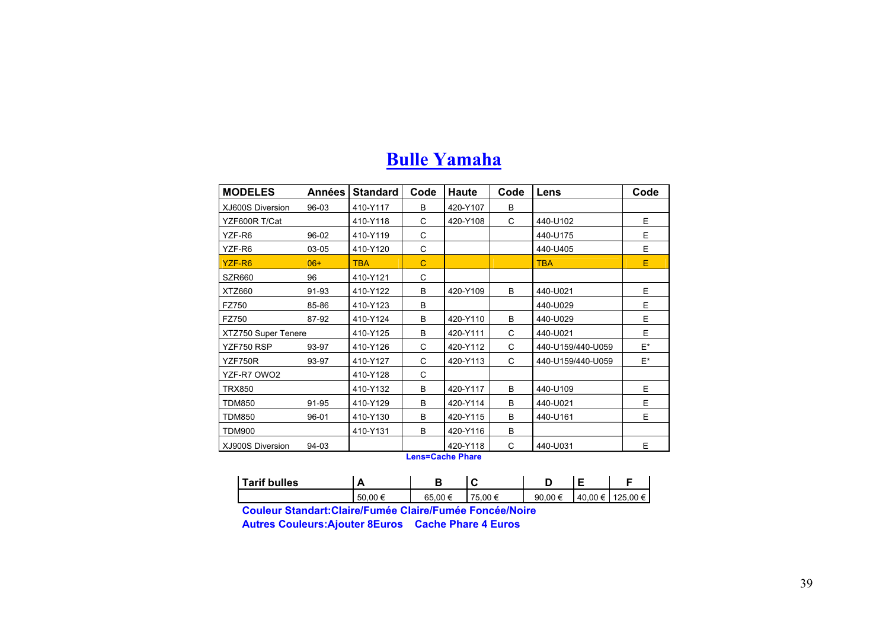| <b>Bulle Yamaha</b> |
|---------------------|
|---------------------|

| <b>MODELES</b>      | Années | <b>Standard</b> | Code        | <b>Haute</b>                 | Code | Lens              | Code |
|---------------------|--------|-----------------|-------------|------------------------------|------|-------------------|------|
| XJ600S Diversion    | 96-03  | 410-Y117        | B           | 420-Y107                     | B    |                   |      |
| YZF600R T/Cat       |        | 410-Y118        | C           | 420-Y108                     | C    | 440-U102          | E.   |
| YZF-R6              | 96-02  | 410-Y119        | C           |                              |      | 440-U175          | E    |
| YZF-R6              | 03-05  | 410-Y120        | C           |                              |      | 440-U405          | E    |
| YZF-R6              | $06+$  | <b>TBA</b>      | $\mathbf C$ |                              |      | <b>TBA</b>        | E    |
| SZR660              | 96     | 410-Y121        | C           |                              |      |                   |      |
| XTZ660              | 91-93  | 410-Y122        | B           | 420-Y109                     | B    | 440-U021          | E    |
| FZ750               | 85-86  | 410-Y123        | B           |                              |      | 440-U029          | E    |
| FZ750               | 87-92  | 410-Y124        | B           | 420-Y110                     | B    | 440-U029          | E    |
| XTZ750 Super Tenere |        | 410-Y125        | в           | 420-Y111                     | C    | 440-U021          | E    |
| YZF750 RSP          | 93-97  | 410-Y126        | C           | 420-Y112                     | C    | 440-U159/440-U059 | E*   |
| YZF750R             | 93-97  | 410-Y127        | C           | 420-Y113                     | C    | 440-U159/440-U059 | E*   |
| YZF-R7 OWO2         |        | 410-Y128        | C           |                              |      |                   |      |
| <b>TRX850</b>       |        | 410-Y132        | B           | 420-Y117                     | B    | 440-U109          | E    |
| <b>TDM850</b>       | 91-95  | 410-Y129        | B           | 420-Y114                     | B    | 440-U021          | E    |
| <b>TDM850</b>       | 96-01  | 410-Y130        | B           | 420-Y115                     | B    | 440-U161          | E    |
| <b>TDM900</b>       |        | 410-Y131        | B           | 420-Y116                     | B    |                   |      |
| XJ900S Diversion    | 94-03  |                 |             | 420-Y118<br>Long=Coope Dhoro | C    | 440-U031          | E    |

**Lens=Cache Phare** 

| <b>Tarif bulles</b> | -       | ▫      | ∼     |         |         |          |
|---------------------|---------|--------|-------|---------|---------|----------|
|                     | 50.00 € | 65.00€ | .00 € | 90.00 € | 40.00 € | 125.00 € |

**Couleur Standart:Claire/Fumée Claire/Fumée Foncée/Noire** 

**Autres Couleurs:Ajouter 8Euros Cache Phare 4 Euros**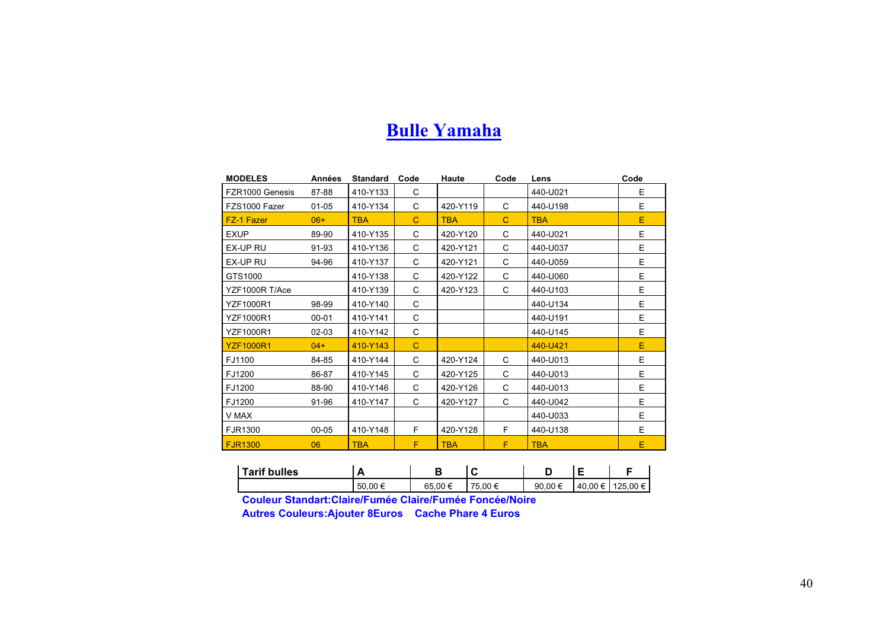#### **Bulle Yamaha**

| <b>MODELES</b>    | <b>Années</b> | <b>Standard</b> | Code        | Haute      | Code | Lens       | Code |
|-------------------|---------------|-----------------|-------------|------------|------|------------|------|
| FZR1000 Genesis   | 87-88         | 410-Y133        | C           |            |      | 440-U021   | E    |
| FZS1000 Fazer     | $01 - 05$     | 410-Y134        | C           | 420-Y119   | C    | 440-U198   | E    |
| <b>FZ-1 Fazer</b> | $06+$         | <b>TBA</b>      | C           | <b>TBA</b> | C    | <b>TBA</b> | E    |
| <b>EXUP</b>       | 89-90         | 410-Y135        | C           | 420-Y120   | C    | 440-U021   | E    |
| EX-UP RU          | 91-93         | 410-Y136        | C           | 420-Y121   | C    | 440-U037   | E    |
| EX-UP RU          | 94-96         | 410-Y137        | C           | 420-Y121   | C    | 440-U059   | E    |
| GTS1000           |               | 410-Y138        | C           | 420-Y122   | C    | 440-U060   | E    |
| YZF1000R T/Ace    |               | 410-Y139        | C           | 420-Y123   | C    | 440-U103   | E    |
| YZF1000R1         | 98-99         | 410-Y140        | C           |            |      | 440-U134   | E    |
| <b>YZF1000R1</b>  | $00 - 01$     | 410-Y141        | C           |            |      | 440-U191   | E    |
| YZF1000R1         | $02 - 03$     | 410-Y142        | C           |            |      | 440-U145   | E    |
| <b>YZF1000R1</b>  | $04+$         | 410-Y143        | $\mathbf C$ |            |      | 440-U421   | E    |
| FJ1100            | 84-85         | 410-Y144        | C           | 420-Y124   | C    | 440-U013   | E    |
| FJ1200            | 86-87         | 410-Y145        | C           | 420-Y125   | C    | 440-U013   | E    |
| FJ1200            | 88-90         | 410-Y146        | C           | 420-Y126   | C    | 440-U013   | E    |
| FJ1200            | 91-96         | 410-Y147        | C           | 420-Y127   | C    | 440-U042   | E    |
| V MAX             |               |                 |             |            |      | 440-U033   | E    |
| FJR1300           | 00-05         | 410-Y148        | F           | 420-Y128   | F.   | 440-U138   | E    |
| <b>FJR1300</b>    | 06            | <b>TBA</b>      | F           | <b>TBA</b> | F    | <b>TBA</b> | Ε    |

| Tarif bulles | –       |             | ∽<br>∼  |         | -       |          |
|--------------|---------|-------------|---------|---------|---------|----------|
|              | 50,00 € | .00 €<br>65 | 75.00 € | 90.00 € | 40.00 € | 125.00 € |